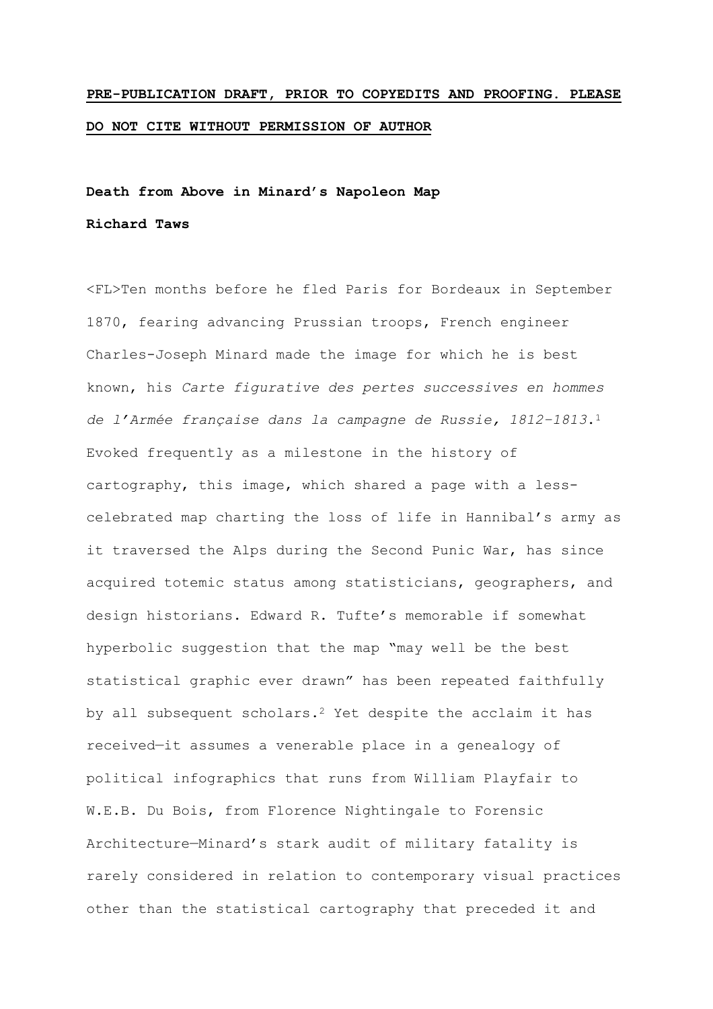# **PRE-PUBLICATION DRAFT, PRIOR TO COPYEDITS AND PROOFING. PLEASE DO NOT CITE WITHOUT PERMISSION OF AUTHOR**

## **Death from Above in Minard's Napoleon Map Richard Taws**

<FL>Ten months before he fled Paris for Bordeaux in September 1870, fearing advancing Prussian troops, French engineer Charles-Joseph Minard made the image for which he is best known, his *Carte figurative des pertes successives en hommes de l'Armée française dans la campagne de Russie, 1812–1813*.<sup>1</sup> Evoked frequently as a milestone in the history of cartography, this image, which shared a page with a lesscelebrated map charting the loss of life in Hannibal's army as it traversed the Alps during the Second Punic War, has since acquired totemic status among statisticians, geographers, and design historians. Edward R. Tufte's memorable if somewhat hyperbolic suggestion that the map "may well be the best statistical graphic ever drawn" has been repeated faithfully by all subsequent scholars.<sup>2</sup> Yet despite the acclaim it has received—it assumes a venerable place in a genealogy of political infographics that runs from William Playfair to W.E.B. Du Bois, from Florence Nightingale to Forensic Architecture—Minard's stark audit of military fatality is rarely considered in relation to contemporary visual practices other than the statistical cartography that preceded it and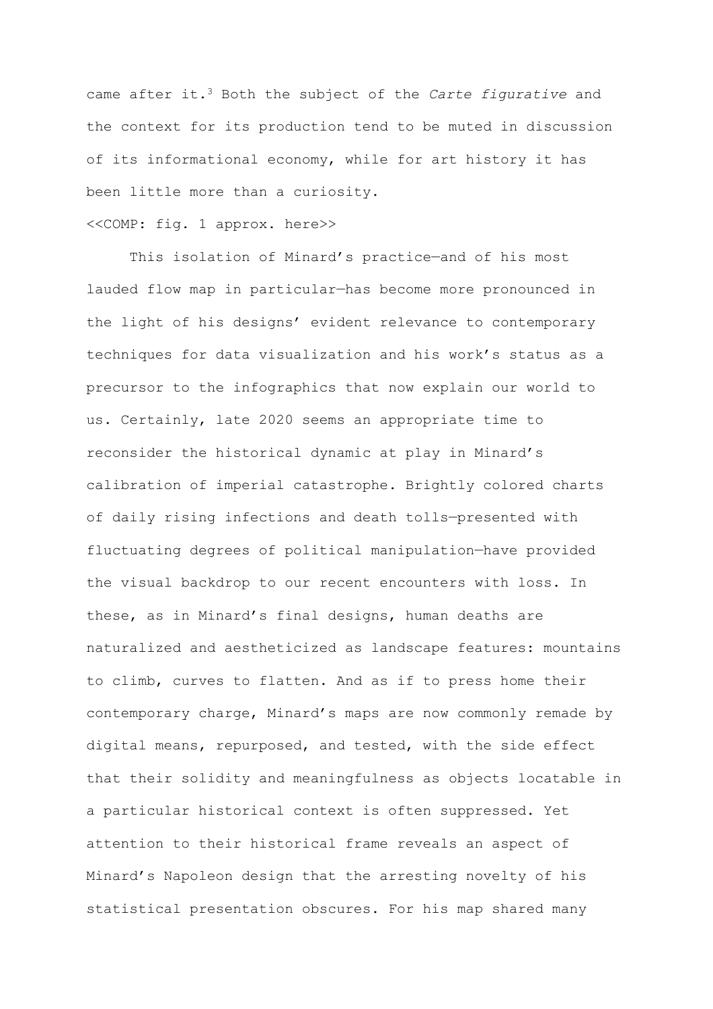came after it.<sup>3</sup> Both the subject of the *Carte figurative* and the context for its production tend to be muted in discussion of its informational economy, while for art history it has been little more than a curiosity.

#### <<COMP: fig. 1 approx. here>>

This isolation of Minard's practice—and of his most lauded flow map in particular—has become more pronounced in the light of his designs' evident relevance to contemporary techniques for data visualization and his work's status as a precursor to the infographics that now explain our world to us. Certainly, late 2020 seems an appropriate time to reconsider the historical dynamic at play in Minard's calibration of imperial catastrophe. Brightly colored charts of daily rising infections and death tolls—presented with fluctuating degrees of political manipulation—have provided the visual backdrop to our recent encounters with loss. In these, as in Minard's final designs, human deaths are naturalized and aestheticized as landscape features: mountains to climb, curves to flatten. And as if to press home their contemporary charge, Minard's maps are now commonly remade by digital means, repurposed, and tested, with the side effect that their solidity and meaningfulness as objects locatable in a particular historical context is often suppressed. Yet attention to their historical frame reveals an aspect of Minard's Napoleon design that the arresting novelty of his statistical presentation obscures. For his map shared many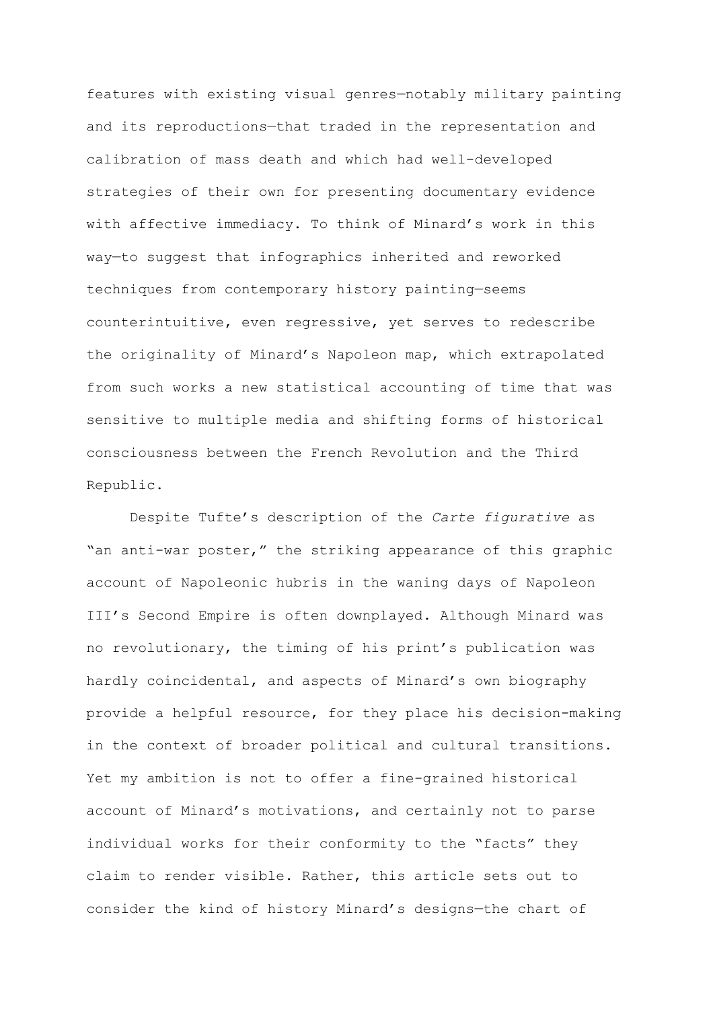features with existing visual genres—notably military painting and its reproductions—that traded in the representation and calibration of mass death and which had well-developed strategies of their own for presenting documentary evidence with affective immediacy. To think of Minard's work in this way—to suggest that infographics inherited and reworked techniques from contemporary history painting—seems counterintuitive, even regressive, yet serves to redescribe the originality of Minard's Napoleon map, which extrapolated from such works a new statistical accounting of time that was sensitive to multiple media and shifting forms of historical consciousness between the French Revolution and the Third Republic.

Despite Tufte's description of the *Carte figurative* as "an anti-war poster," the striking appearance of this graphic account of Napoleonic hubris in the waning days of Napoleon III's Second Empire is often downplayed. Although Minard was no revolutionary, the timing of his print's publication was hardly coincidental, and aspects of Minard's own biography provide a helpful resource, for they place his decision-making in the context of broader political and cultural transitions. Yet my ambition is not to offer a fine-grained historical account of Minard's motivations, and certainly not to parse individual works for their conformity to the "facts" they claim to render visible. Rather, this article sets out to consider the kind of history Minard's designs—the chart of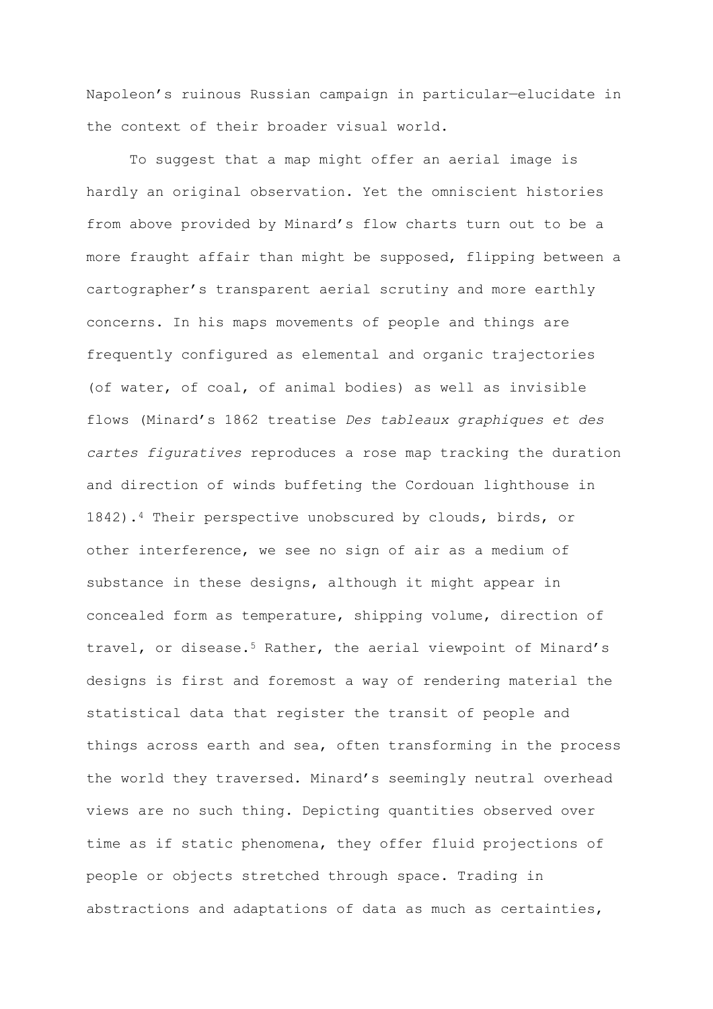Napoleon's ruinous Russian campaign in particular—elucidate in the context of their broader visual world.

To suggest that a map might offer an aerial image is hardly an original observation. Yet the omniscient histories from above provided by Minard's flow charts turn out to be a more fraught affair than might be supposed, flipping between a cartographer's transparent aerial scrutiny and more earthly concerns. In his maps movements of people and things are frequently configured as elemental and organic trajectories (of water, of coal, of animal bodies) as well as invisible flows (Minard's 1862 treatise *Des tableaux graphiques et des cartes figuratives* reproduces a rose map tracking the duration and direction of winds buffeting the Cordouan lighthouse in 1842).<sup>4</sup> Their perspective unobscured by clouds, birds, or other interference, we see no sign of air as a medium of substance in these designs, although it might appear in concealed form as temperature, shipping volume, direction of travel, or disease.<sup>5</sup> Rather, the aerial viewpoint of Minard's designs is first and foremost a way of rendering material the statistical data that register the transit of people and things across earth and sea, often transforming in the process the world they traversed. Minard's seemingly neutral overhead views are no such thing. Depicting quantities observed over time as if static phenomena, they offer fluid projections of people or objects stretched through space. Trading in abstractions and adaptations of data as much as certainties,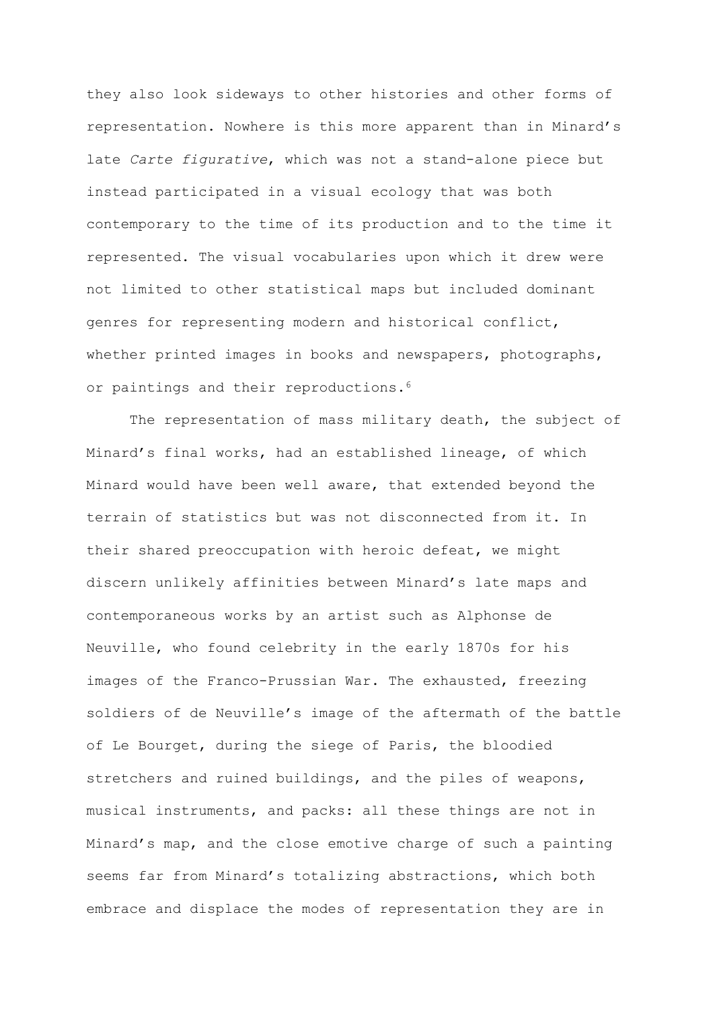they also look sideways to other histories and other forms of representation. Nowhere is this more apparent than in Minard's late *Carte figurative*, which was not a stand-alone piece but instead participated in a visual ecology that was both contemporary to the time of its production and to the time it represented. The visual vocabularies upon which it drew were not limited to other statistical maps but included dominant genres for representing modern and historical conflict, whether printed images in books and newspapers, photographs, or paintings and their reproductions.<sup>6</sup>

The representation of mass military death, the subject of Minard's final works, had an established lineage, of which Minard would have been well aware, that extended beyond the terrain of statistics but was not disconnected from it. In their shared preoccupation with heroic defeat, we might discern unlikely affinities between Minard's late maps and contemporaneous works by an artist such as Alphonse de Neuville, who found celebrity in the early 1870s for his images of the Franco-Prussian War. The exhausted, freezing soldiers of de Neuville's image of the aftermath of the battle of Le Bourget, during the siege of Paris, the bloodied stretchers and ruined buildings, and the piles of weapons, musical instruments, and packs: all these things are not in Minard's map, and the close emotive charge of such a painting seems far from Minard's totalizing abstractions, which both embrace and displace the modes of representation they are in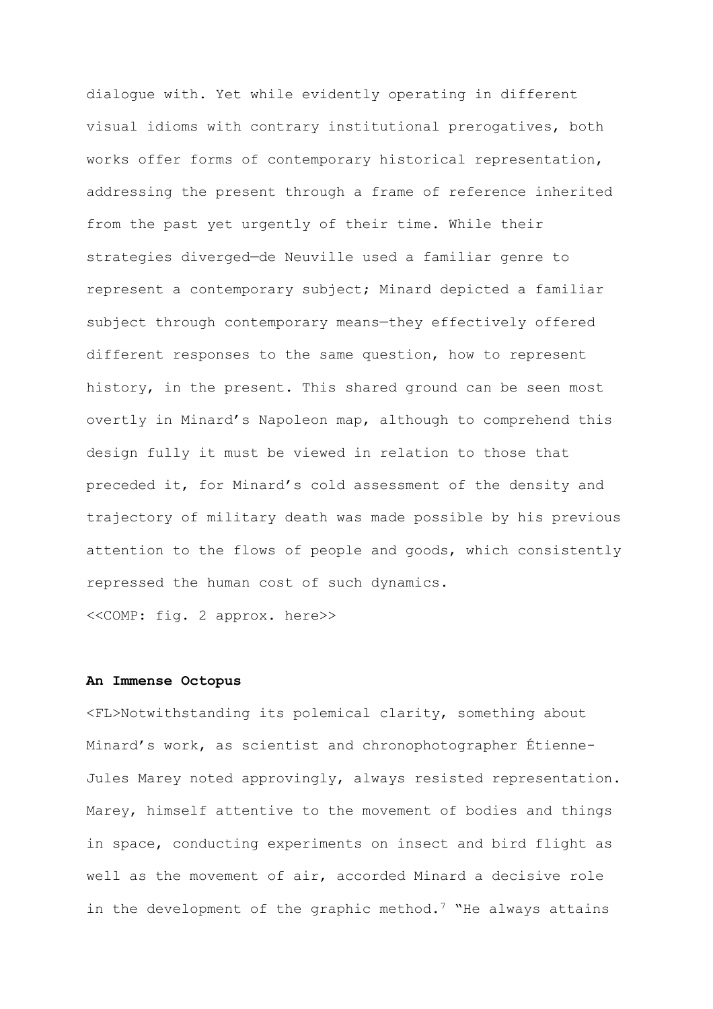dialogue with. Yet while evidently operating in different visual idioms with contrary institutional prerogatives, both works offer forms of contemporary historical representation, addressing the present through a frame of reference inherited from the past yet urgently of their time. While their strategies diverged—de Neuville used a familiar genre to represent a contemporary subject; Minard depicted a familiar subject through contemporary means—they effectively offered different responses to the same question, how to represent history, in the present. This shared ground can be seen most overtly in Minard's Napoleon map, although to comprehend this design fully it must be viewed in relation to those that preceded it, for Minard's cold assessment of the density and trajectory of military death was made possible by his previous attention to the flows of people and goods, which consistently repressed the human cost of such dynamics.

<<COMP: fig. 2 approx. here>>

#### **An Immense Octopus**

<FL>Notwithstanding its polemical clarity, something about Minard's work, as scientist and chronophotographer Étienne-Jules Marey noted approvingly, always resisted representation. Marey, himself attentive to the movement of bodies and things in space, conducting experiments on insect and bird flight as well as the movement of air, accorded Minard a decisive role in the development of the graphic method.<sup>7</sup> "He always attains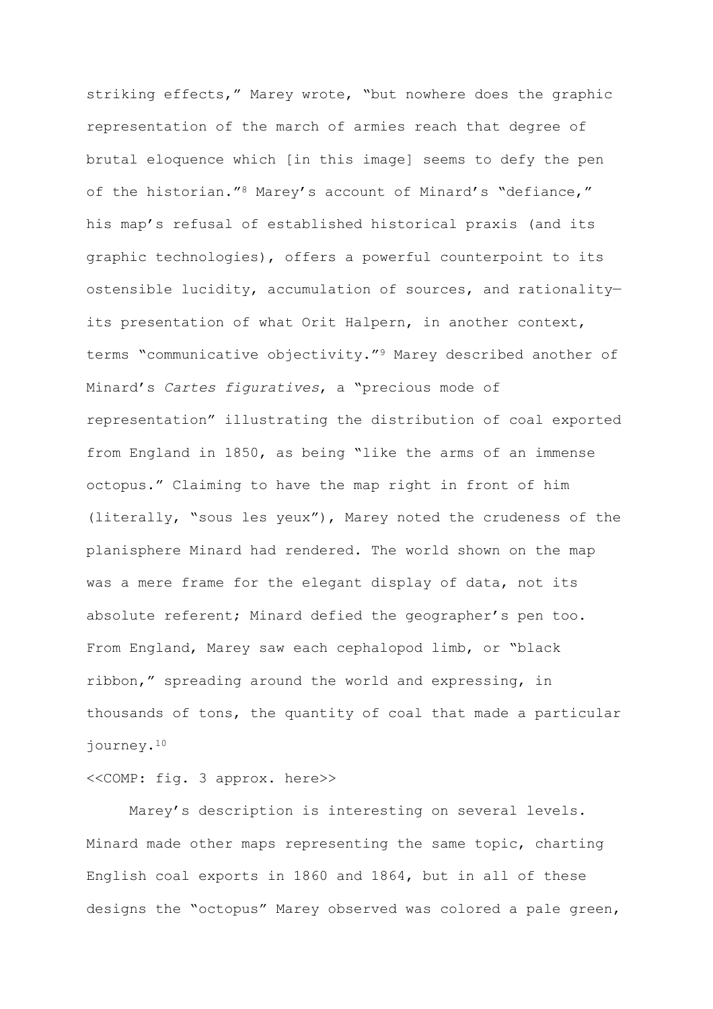striking effects," Marey wrote, "but nowhere does the graphic representation of the march of armies reach that degree of brutal eloquence which [in this image] seems to defy the pen of the historian."<sup>8</sup> Marey's account of Minard's "defiance," his map's refusal of established historical praxis (and its graphic technologies), offers a powerful counterpoint to its ostensible lucidity, accumulation of sources, and rationality its presentation of what Orit Halpern, in another context, terms "communicative objectivity."<sup>9</sup> Marey described another of Minard's *Cartes figuratives*, a "precious mode of representation" illustrating the distribution of coal exported from England in 1850, as being "like the arms of an immense octopus." Claiming to have the map right in front of him (literally, "sous les yeux"), Marey noted the crudeness of the planisphere Minard had rendered. The world shown on the map was a mere frame for the elegant display of data, not its absolute referent; Minard defied the geographer's pen too. From England, Marey saw each cephalopod limb, or "black ribbon," spreading around the world and expressing, in thousands of tons, the quantity of coal that made a particular journey.<sup>10</sup>

#### <<COMP: fig. 3 approx. here>>

Marey's description is interesting on several levels. Minard made other maps representing the same topic, charting English coal exports in 1860 and 1864, but in all of these designs the "octopus" Marey observed was colored a pale green,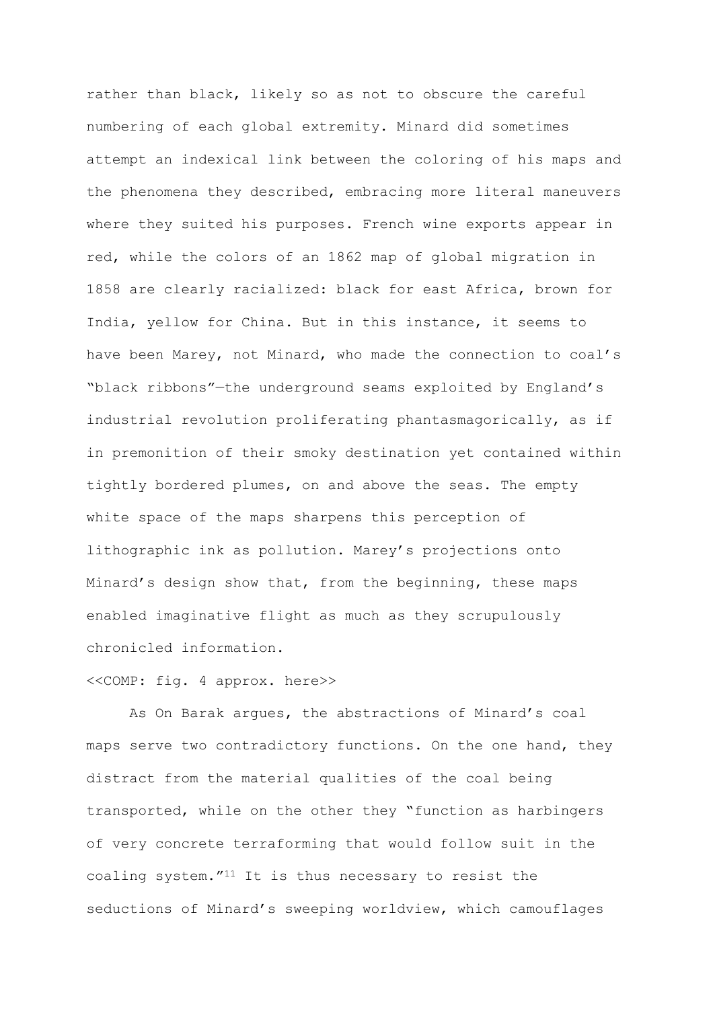rather than black, likely so as not to obscure the careful numbering of each global extremity. Minard did sometimes attempt an indexical link between the coloring of his maps and the phenomena they described, embracing more literal maneuvers where they suited his purposes. French wine exports appear in red, while the colors of an 1862 map of global migration in 1858 are clearly racialized: black for east Africa, brown for India, yellow for China. But in this instance, it seems to have been Marey, not Minard, who made the connection to coal's "black ribbons"—the underground seams exploited by England's industrial revolution proliferating phantasmagorically, as if in premonition of their smoky destination yet contained within tightly bordered plumes, on and above the seas. The empty white space of the maps sharpens this perception of lithographic ink as pollution. Marey's projections onto Minard's design show that, from the beginning, these maps enabled imaginative flight as much as they scrupulously chronicled information.

## <<COMP: fig. 4 approx. here>>

As On Barak argues, the abstractions of Minard's coal maps serve two contradictory functions. On the one hand, they distract from the material qualities of the coal being transported, while on the other they "function as harbingers of very concrete terraforming that would follow suit in the coaling system."<sup>11</sup> It is thus necessary to resist the seductions of Minard's sweeping worldview, which camouflages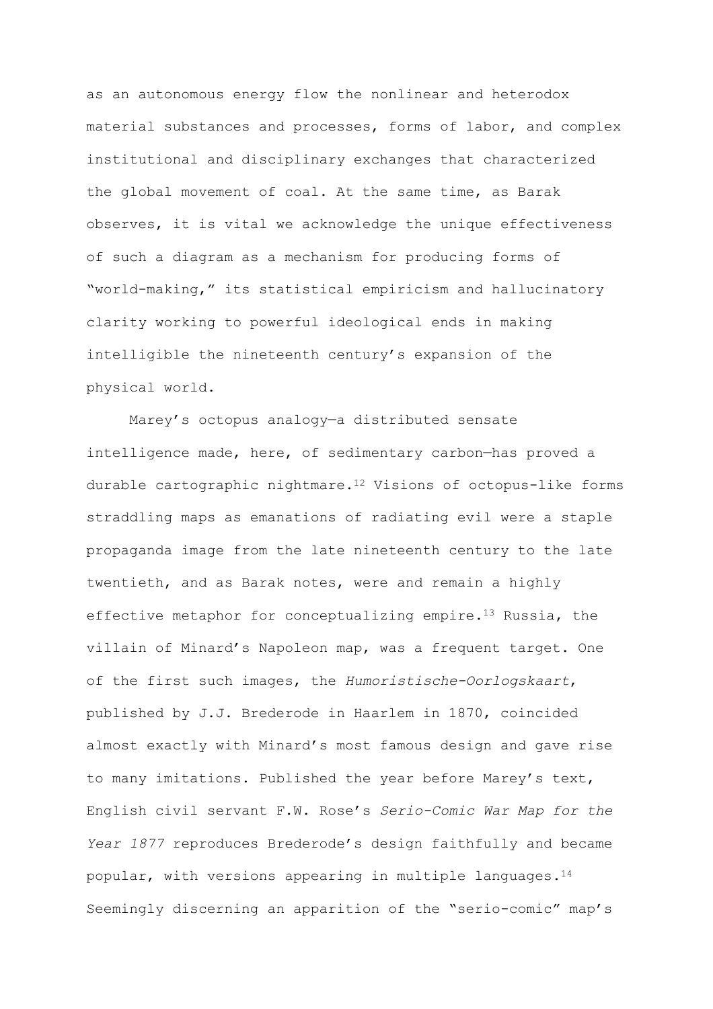as an autonomous energy flow the nonlinear and heterodox material substances and processes, forms of labor, and complex institutional and disciplinary exchanges that characterized the global movement of coal. At the same time, as Barak observes, it is vital we acknowledge the unique effectiveness of such a diagram as a mechanism for producing forms of "world-making," its statistical empiricism and hallucinatory clarity working to powerful ideological ends in making intelligible the nineteenth century's expansion of the physical world.

Marey's octopus analogy—a distributed sensate intelligence made, here, of sedimentary carbon—has proved a durable cartographic nightmare.<sup>12</sup> Visions of octopus-like forms straddling maps as emanations of radiating evil were a staple propaganda image from the late nineteenth century to the late twentieth, and as Barak notes, were and remain a highly effective metaphor for conceptualizing empire.<sup>13</sup> Russia, the villain of Minard's Napoleon map, was a frequent target. One of the first such images, the *Humoristische-Oorlogskaart*, published by J.J. Brederode in Haarlem in 1870, coincided almost exactly with Minard's most famous design and gave rise to many imitations. Published the year before Marey's text, English civil servant F.W. Rose's *Serio-Comic War Map for the Year 1877* reproduces Brederode's design faithfully and became popular, with versions appearing in multiple languages.<sup>14</sup> Seemingly discerning an apparition of the "serio-comic" map's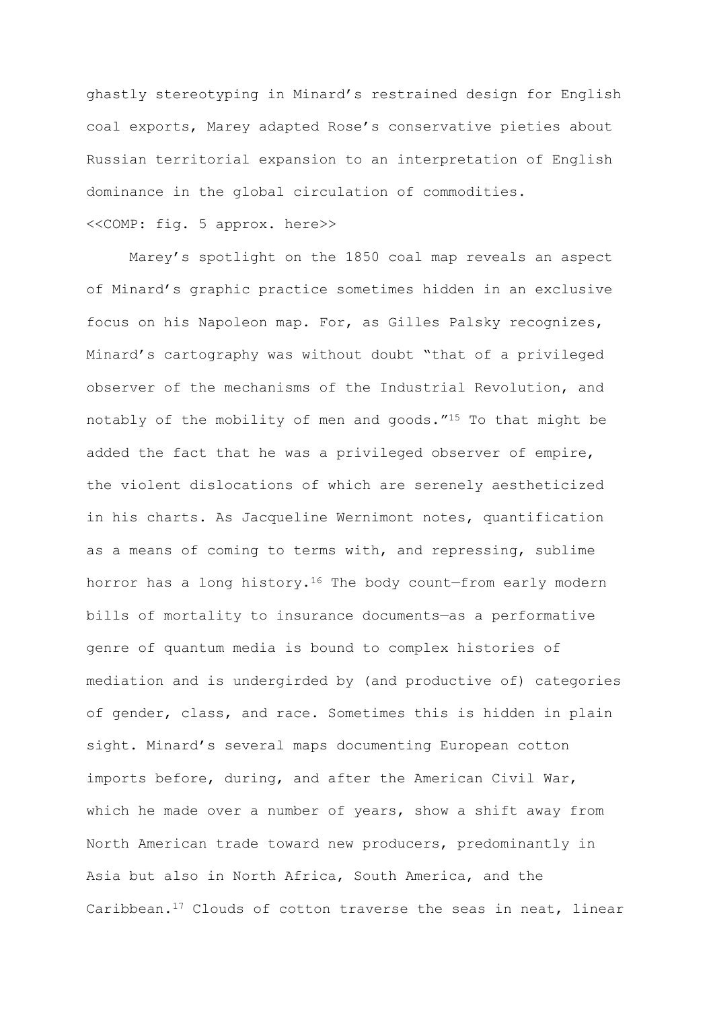ghastly stereotyping in Minard's restrained design for English coal exports, Marey adapted Rose's conservative pieties about Russian territorial expansion to an interpretation of English dominance in the global circulation of commodities.

#### <<COMP: fig. 5 approx. here>>

Marey's spotlight on the 1850 coal map reveals an aspect of Minard's graphic practice sometimes hidden in an exclusive focus on his Napoleon map. For, as Gilles Palsky recognizes, Minard's cartography was without doubt "that of a privileged observer of the mechanisms of the Industrial Revolution, and notably of the mobility of men and goods."<sup>15</sup> To that might be added the fact that he was a privileged observer of empire, the violent dislocations of which are serenely aestheticized in his charts. As Jacqueline Wernimont notes, quantification as a means of coming to terms with, and repressing, sublime horror has a long history.<sup>16</sup> The body count-from early modern bills of mortality to insurance documents—as a performative genre of quantum media is bound to complex histories of mediation and is undergirded by (and productive of) categories of gender, class, and race. Sometimes this is hidden in plain sight. Minard's several maps documenting European cotton imports before, during, and after the American Civil War, which he made over a number of years, show a shift away from North American trade toward new producers, predominantly in Asia but also in North Africa, South America, and the Caribbean.<sup>17</sup> Clouds of cotton traverse the seas in neat, linear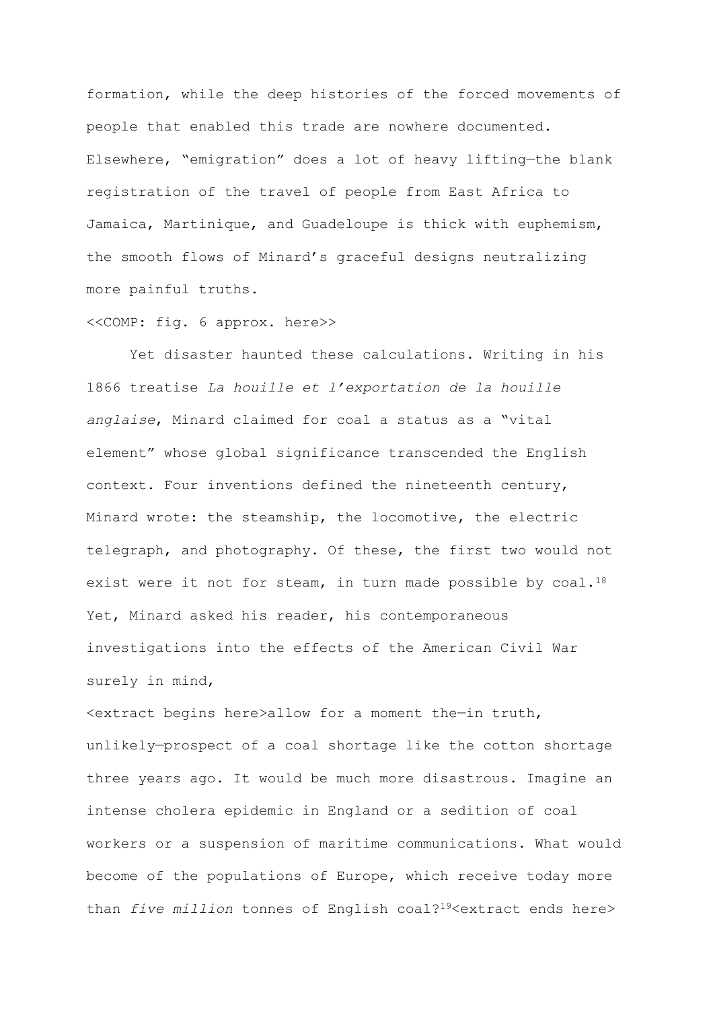formation, while the deep histories of the forced movements of people that enabled this trade are nowhere documented. Elsewhere, "emigration" does a lot of heavy lifting—the blank registration of the travel of people from East Africa to Jamaica, Martinique, and Guadeloupe is thick with euphemism, the smooth flows of Minard's graceful designs neutralizing more painful truths.

#### <<COMP: fig. 6 approx. here>>

Yet disaster haunted these calculations. Writing in his 1866 treatise *La houille et l'exportation de la houille anglaise*, Minard claimed for coal a status as a "vital element" whose global significance transcended the English context. Four inventions defined the nineteenth century, Minard wrote: the steamship, the locomotive, the electric telegraph, and photography. Of these, the first two would not exist were it not for steam, in turn made possible by coal.<sup>18</sup> Yet, Minard asked his reader, his contemporaneous investigations into the effects of the American Civil War surely in mind,

<extract begins here>allow for a moment the—in truth, unlikely—prospect of a coal shortage like the cotton shortage three years ago. It would be much more disastrous. Imagine an intense cholera epidemic in England or a sedition of coal workers or a suspension of maritime communications. What would become of the populations of Europe, which receive today more than *five million* tonnes of English coal?19<extract ends here>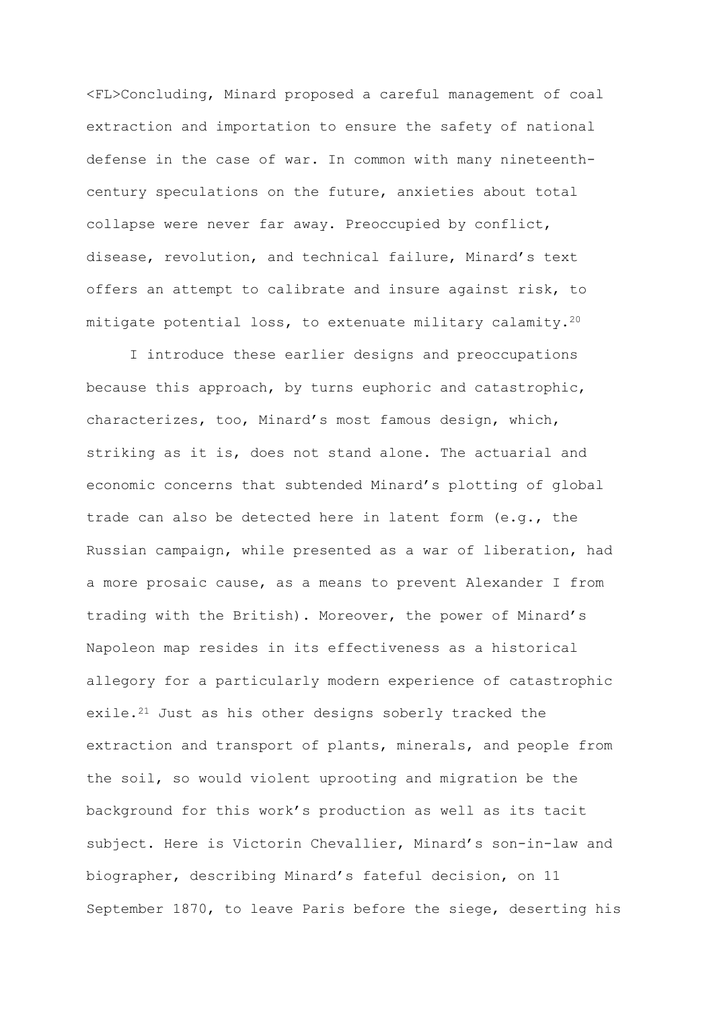<FL>Concluding, Minard proposed a careful management of coal extraction and importation to ensure the safety of national defense in the case of war. In common with many nineteenthcentury speculations on the future, anxieties about total collapse were never far away. Preoccupied by conflict, disease, revolution, and technical failure, Minard's text offers an attempt to calibrate and insure against risk, to mitigate potential loss, to extenuate military calamity.<sup>20</sup>

I introduce these earlier designs and preoccupations because this approach, by turns euphoric and catastrophic, characterizes, too, Minard's most famous design, which, striking as it is, does not stand alone. The actuarial and economic concerns that subtended Minard's plotting of global trade can also be detected here in latent form (e.g., the Russian campaign, while presented as a war of liberation, had a more prosaic cause, as a means to prevent Alexander I from trading with the British). Moreover, the power of Minard's Napoleon map resides in its effectiveness as a historical allegory for a particularly modern experience of catastrophic exile.<sup>21</sup> Just as his other designs soberly tracked the extraction and transport of plants, minerals, and people from the soil, so would violent uprooting and migration be the background for this work's production as well as its tacit subject. Here is Victorin Chevallier, Minard's son-in-law and biographer, describing Minard's fateful decision, on 11 September 1870, to leave Paris before the siege, deserting his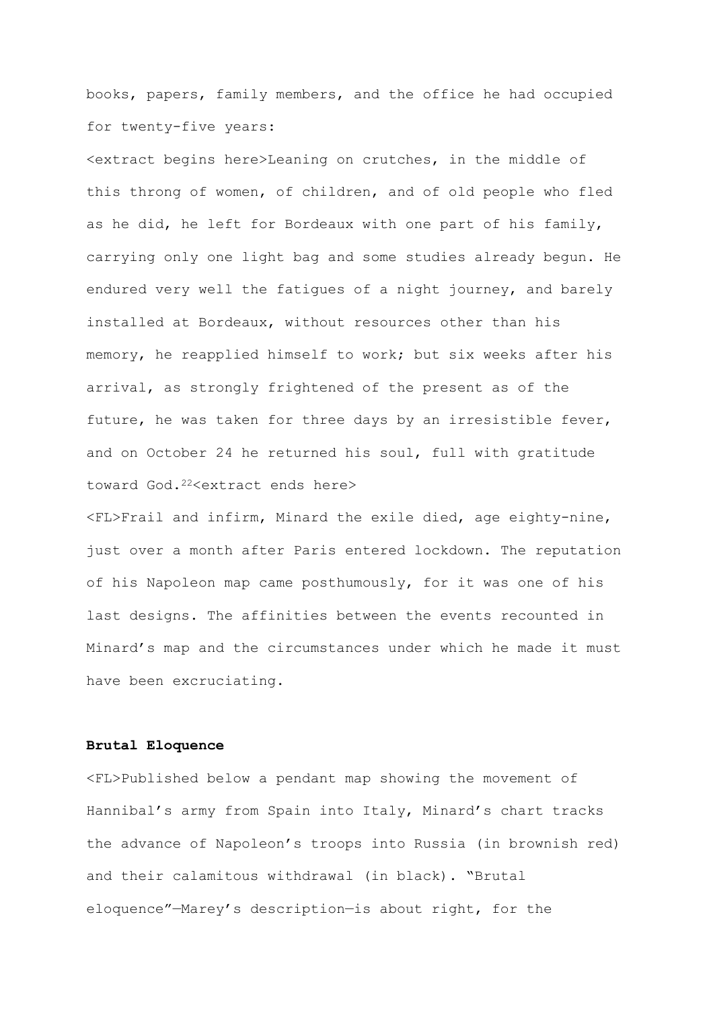books, papers, family members, and the office he had occupied for twenty-five years:

<extract begins here>Leaning on crutches, in the middle of this throng of women, of children, and of old people who fled as he did, he left for Bordeaux with one part of his family, carrying only one light bag and some studies already begun. He endured very well the fatigues of a night journey, and barely installed at Bordeaux, without resources other than his memory, he reapplied himself to work; but six weeks after his arrival, as strongly frightened of the present as of the future, he was taken for three days by an irresistible fever, and on October 24 he returned his soul, full with gratitude toward God.<sup>22</sup><extract ends here>

<FL>Frail and infirm, Minard the exile died, age eighty-nine, just over a month after Paris entered lockdown. The reputation of his Napoleon map came posthumously, for it was one of his last designs. The affinities between the events recounted in Minard's map and the circumstances under which he made it must have been excruciating.

#### **Brutal Eloquence**

<FL>Published below a pendant map showing the movement of Hannibal's army from Spain into Italy, Minard's chart tracks the advance of Napoleon's troops into Russia (in brownish red) and their calamitous withdrawal (in black). "Brutal eloquence"—Marey's description—is about right, for the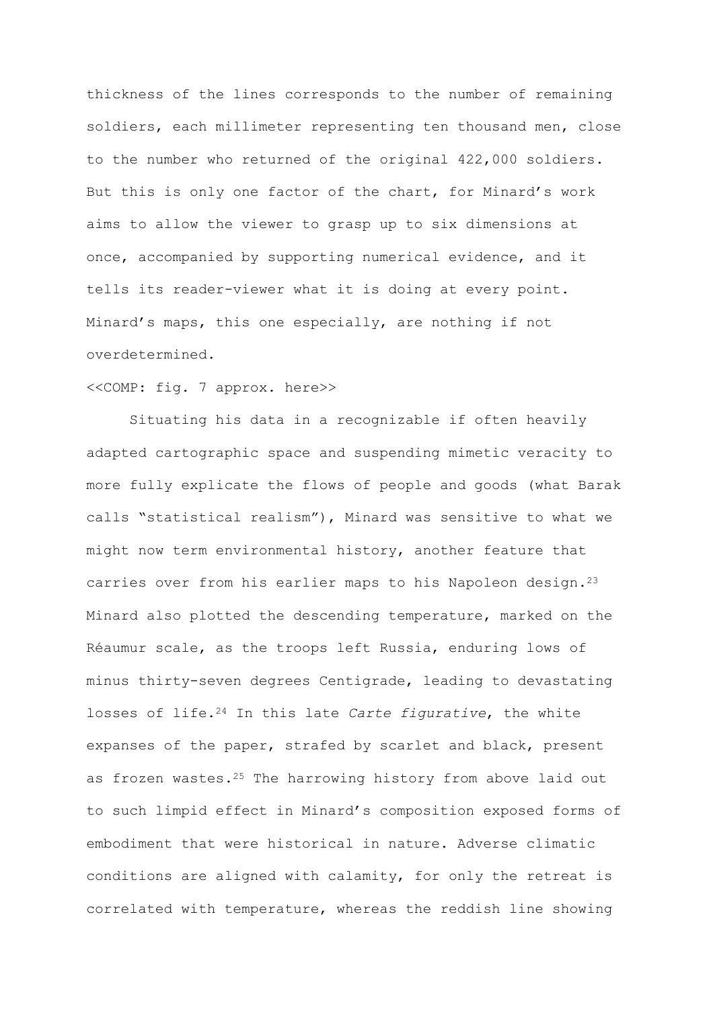thickness of the lines corresponds to the number of remaining soldiers, each millimeter representing ten thousand men, close to the number who returned of the original 422,000 soldiers. But this is only one factor of the chart, for Minard's work aims to allow the viewer to grasp up to six dimensions at once, accompanied by supporting numerical evidence, and it tells its reader-viewer what it is doing at every point. Minard's maps, this one especially, are nothing if not overdetermined.

#### <<COMP: fig. 7 approx. here>>

Situating his data in a recognizable if often heavily adapted cartographic space and suspending mimetic veracity to more fully explicate the flows of people and goods (what Barak calls "statistical realism"), Minard was sensitive to what we might now term environmental history, another feature that carries over from his earlier maps to his Napoleon design.<sup>23</sup> Minard also plotted the descending temperature, marked on the Réaumur scale, as the troops left Russia, enduring lows of minus thirty-seven degrees Centigrade, leading to devastating losses of life.<sup>24</sup> In this late *Carte figurative*, the white expanses of the paper, strafed by scarlet and black, present as frozen wastes.<sup>25</sup> The harrowing history from above laid out to such limpid effect in Minard's composition exposed forms of embodiment that were historical in nature. Adverse climatic conditions are aligned with calamity, for only the retreat is correlated with temperature, whereas the reddish line showing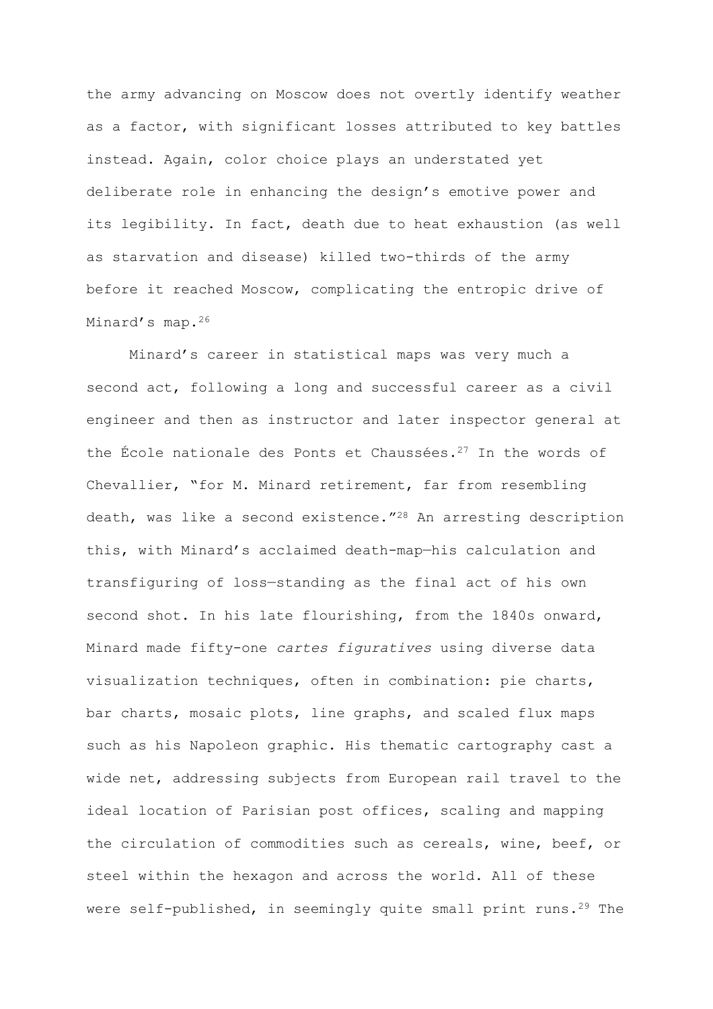the army advancing on Moscow does not overtly identify weather as a factor, with significant losses attributed to key battles instead. Again, color choice plays an understated yet deliberate role in enhancing the design's emotive power and its legibility. In fact, death due to heat exhaustion (as well as starvation and disease) killed two-thirds of the army before it reached Moscow, complicating the entropic drive of Minard's map.<sup>26</sup>

Minard's career in statistical maps was very much a second act, following a long and successful career as a civil engineer and then as instructor and later inspector general at the École nationale des Ponts et Chaussées.<sup>27</sup> In the words of Chevallier, "for M. Minard retirement, far from resembling death, was like a second existence."<sup>28</sup> An arresting description this, with Minard's acclaimed death-map—his calculation and transfiguring of loss—standing as the final act of his own second shot. In his late flourishing, from the 1840s onward, Minard made fifty-one *cartes figuratives* using diverse data visualization techniques, often in combination: pie charts, bar charts, mosaic plots, line graphs, and scaled flux maps such as his Napoleon graphic. His thematic cartography cast a wide net, addressing subjects from European rail travel to the ideal location of Parisian post offices, scaling and mapping the circulation of commodities such as cereals, wine, beef, or steel within the hexagon and across the world. All of these were self-published, in seemingly quite small print runs.<sup>29</sup> The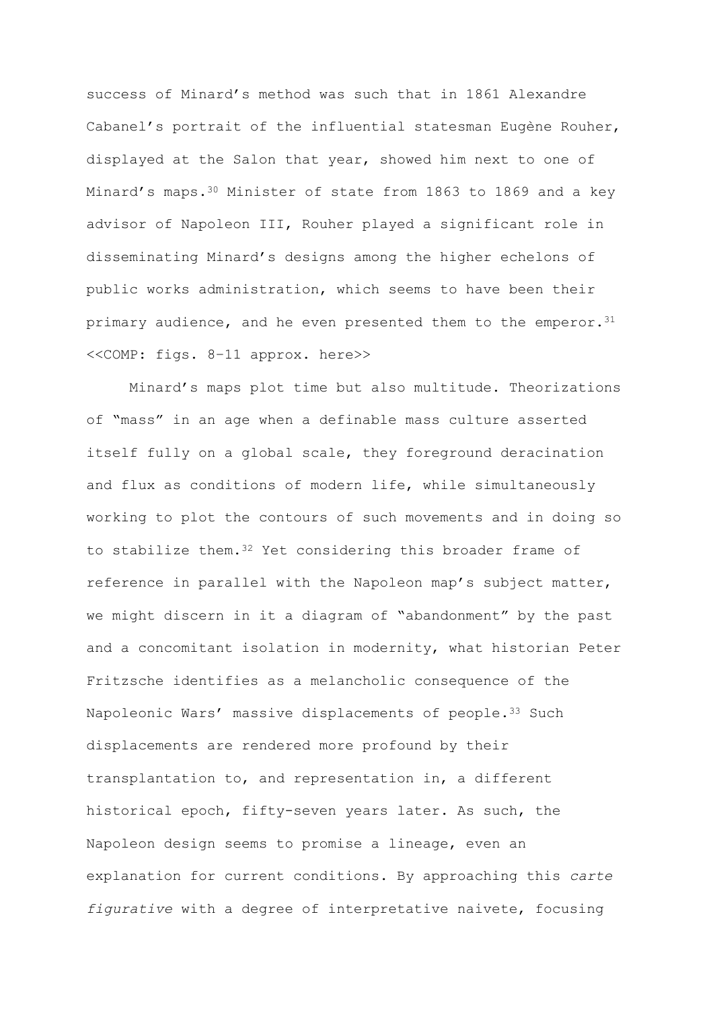success of Minard's method was such that in 1861 Alexandre Cabanel's portrait of the influential statesman Eugène Rouher, displayed at the Salon that year, showed him next to one of Minard's maps.<sup>30</sup> Minister of state from 1863 to 1869 and a key advisor of Napoleon III, Rouher played a significant role in disseminating Minard's designs among the higher echelons of public works administration, which seems to have been their primary audience, and he even presented them to the emperor.<sup>31</sup> <<COMP: figs. 8–11 approx. here>>

Minard's maps plot time but also multitude. Theorizations of "mass" in an age when a definable mass culture asserted itself fully on a global scale, they foreground deracination and flux as conditions of modern life, while simultaneously working to plot the contours of such movements and in doing so to stabilize them.<sup>32</sup> Yet considering this broader frame of reference in parallel with the Napoleon map's subject matter, we might discern in it a diagram of "abandonment" by the past and a concomitant isolation in modernity, what historian Peter Fritzsche identifies as a melancholic consequence of the Napoleonic Wars' massive displacements of people.<sup>33</sup> Such displacements are rendered more profound by their transplantation to, and representation in, a different historical epoch, fifty-seven years later. As such, the Napoleon design seems to promise a lineage, even an explanation for current conditions. By approaching this *carte figurative* with a degree of interpretative naivete, focusing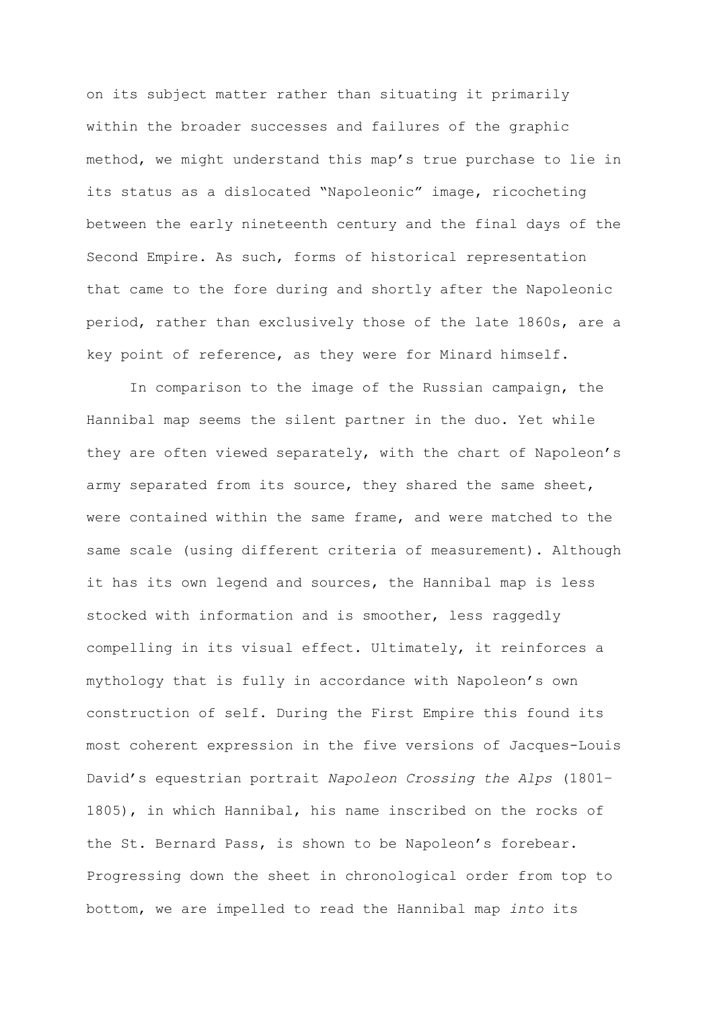on its subject matter rather than situating it primarily within the broader successes and failures of the graphic method, we might understand this map's true purchase to lie in its status as a dislocated "Napoleonic" image, ricocheting between the early nineteenth century and the final days of the Second Empire. As such, forms of historical representation that came to the fore during and shortly after the Napoleonic period, rather than exclusively those of the late 1860s, are a key point of reference, as they were for Minard himself.

In comparison to the image of the Russian campaign, the Hannibal map seems the silent partner in the duo. Yet while they are often viewed separately, with the chart of Napoleon's army separated from its source, they shared the same sheet, were contained within the same frame, and were matched to the same scale (using different criteria of measurement). Although it has its own legend and sources, the Hannibal map is less stocked with information and is smoother, less raggedly compelling in its visual effect. Ultimately, it reinforces a mythology that is fully in accordance with Napoleon's own construction of self. During the First Empire this found its most coherent expression in the five versions of Jacques-Louis David's equestrian portrait *Napoleon Crossing the Alps* (1801– 1805), in which Hannibal, his name inscribed on the rocks of the St. Bernard Pass, is shown to be Napoleon's forebear. Progressing down the sheet in chronological order from top to bottom, we are impelled to read the Hannibal map *into* its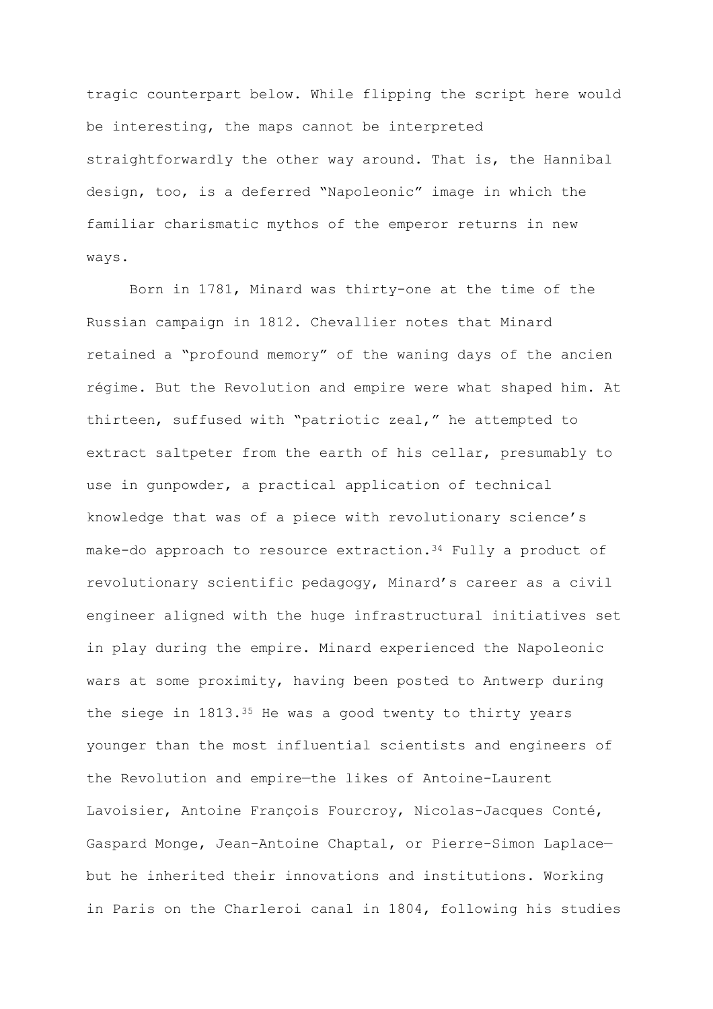tragic counterpart below. While flipping the script here would be interesting, the maps cannot be interpreted straightforwardly the other way around. That is, the Hannibal design, too, is a deferred "Napoleonic" image in which the familiar charismatic mythos of the emperor returns in new ways.

Born in 1781, Minard was thirty-one at the time of the Russian campaign in 1812. Chevallier notes that Minard retained a "profound memory" of the waning days of the ancien régime. But the Revolution and empire were what shaped him. At thirteen, suffused with "patriotic zeal," he attempted to extract saltpeter from the earth of his cellar, presumably to use in gunpowder, a practical application of technical knowledge that was of a piece with revolutionary science's make-do approach to resource extraction.<sup>34</sup> Fully a product of revolutionary scientific pedagogy, Minard's career as a civil engineer aligned with the huge infrastructural initiatives set in play during the empire. Minard experienced the Napoleonic wars at some proximity, having been posted to Antwerp during the siege in 1813.<sup>35</sup> He was a good twenty to thirty years younger than the most influential scientists and engineers of the Revolution and empire—the likes of Antoine-Laurent Lavoisier, Antoine François Fourcroy, Nicolas-Jacques Conté, Gaspard Monge, Jean-Antoine Chaptal, or Pierre-Simon Laplace but he inherited their innovations and institutions. Working in Paris on the Charleroi canal in 1804, following his studies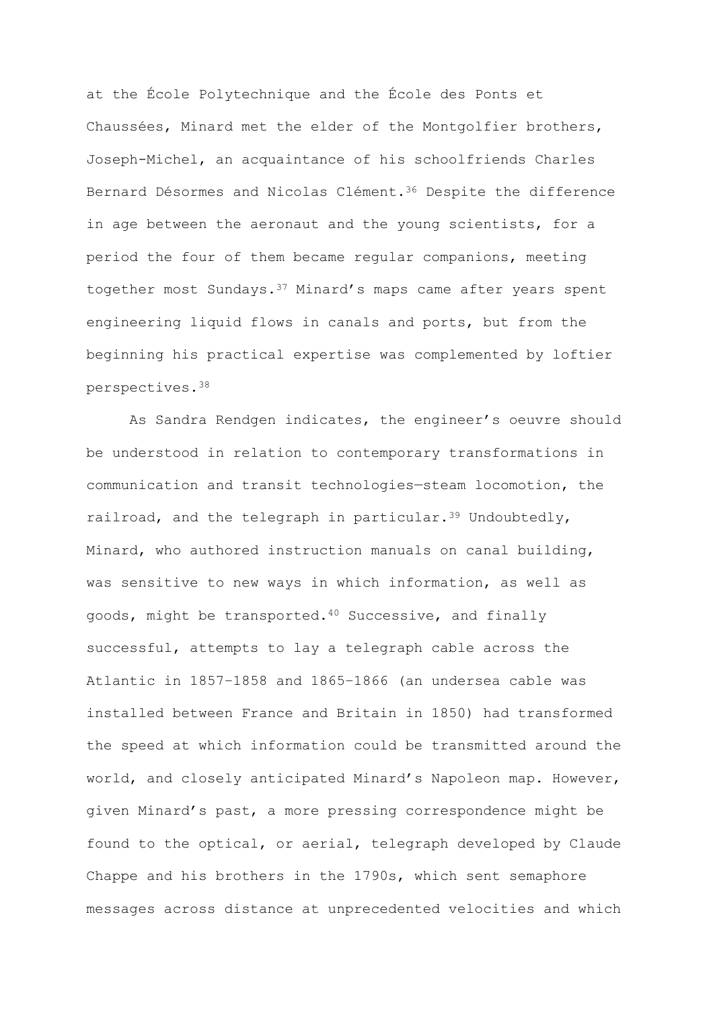at the École Polytechnique and the École des Ponts et Chaussées, Minard met the elder of the Montgolfier brothers, Joseph-Michel, an acquaintance of his schoolfriends Charles Bernard Désormes and Nicolas Clément.<sup>36</sup> Despite the difference in age between the aeronaut and the young scientists, for a period the four of them became regular companions, meeting together most Sundays.<sup>37</sup> Minard's maps came after years spent engineering liquid flows in canals and ports, but from the beginning his practical expertise was complemented by loftier perspectives.<sup>38</sup>

As Sandra Rendgen indicates, the engineer's oeuvre should be understood in relation to contemporary transformations in communication and transit technologies—steam locomotion, the railroad, and the telegraph in particular.<sup>39</sup> Undoubtedly, Minard, who authored instruction manuals on canal building, was sensitive to new ways in which information, as well as goods, might be transported.<sup>40</sup> Successive, and finally successful, attempts to lay a telegraph cable across the Atlantic in 1857–1858 and 1865–1866 (an undersea cable was installed between France and Britain in 1850) had transformed the speed at which information could be transmitted around the world, and closely anticipated Minard's Napoleon map. However, given Minard's past, a more pressing correspondence might be found to the optical, or aerial, telegraph developed by Claude Chappe and his brothers in the 1790s, which sent semaphore messages across distance at unprecedented velocities and which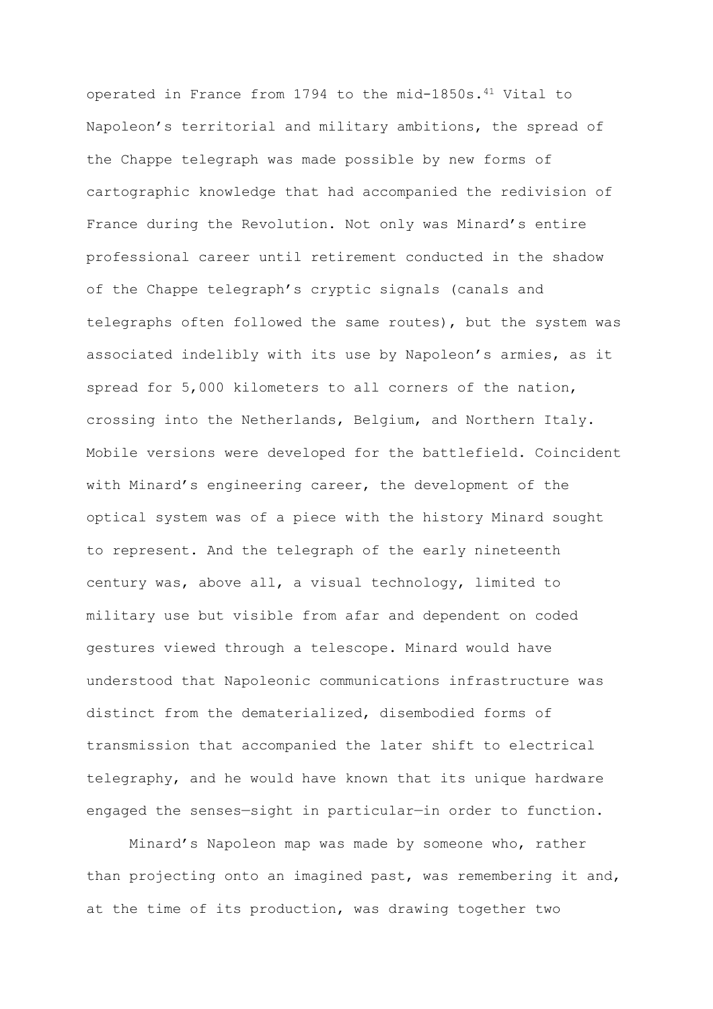operated in France from 1794 to the mid-1850s.<sup>41</sup> Vital to Napoleon's territorial and military ambitions, the spread of the Chappe telegraph was made possible by new forms of cartographic knowledge that had accompanied the redivision of France during the Revolution. Not only was Minard's entire professional career until retirement conducted in the shadow of the Chappe telegraph's cryptic signals (canals and telegraphs often followed the same routes), but the system was associated indelibly with its use by Napoleon's armies, as it spread for 5,000 kilometers to all corners of the nation, crossing into the Netherlands, Belgium, and Northern Italy. Mobile versions were developed for the battlefield. Coincident with Minard's engineering career, the development of the optical system was of a piece with the history Minard sought to represent. And the telegraph of the early nineteenth century was, above all, a visual technology, limited to military use but visible from afar and dependent on coded gestures viewed through a telescope. Minard would have understood that Napoleonic communications infrastructure was distinct from the dematerialized, disembodied forms of transmission that accompanied the later shift to electrical telegraphy, and he would have known that its unique hardware engaged the senses—sight in particular—in order to function.

Minard's Napoleon map was made by someone who, rather than projecting onto an imagined past, was remembering it and, at the time of its production, was drawing together two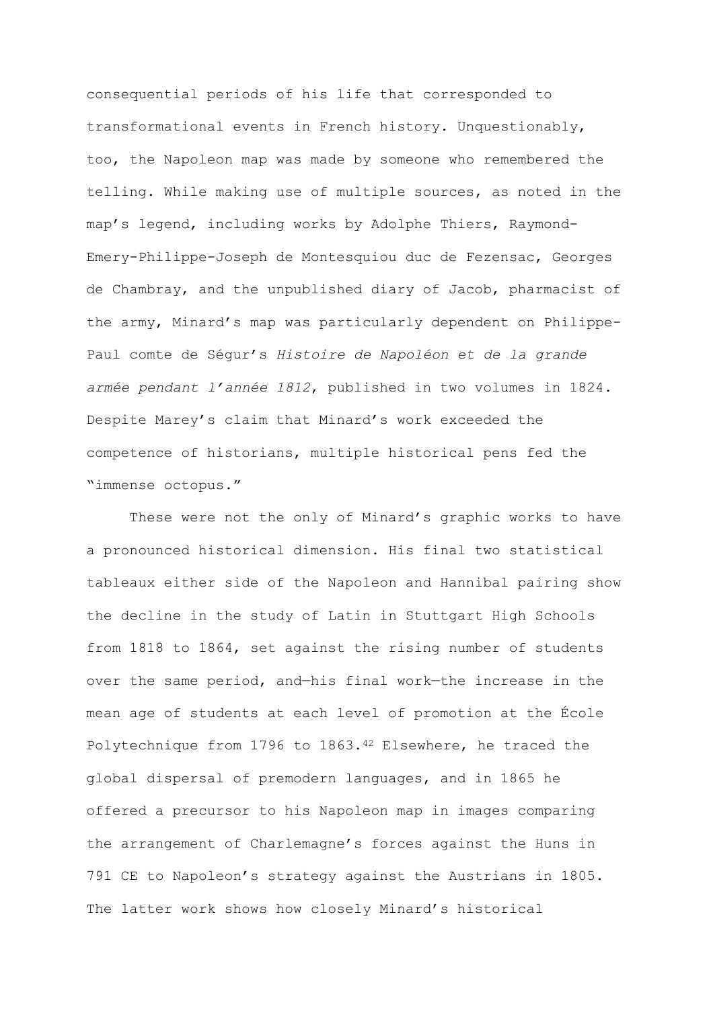consequential periods of his life that corresponded to transformational events in French history. Unquestionably, too, the Napoleon map was made by someone who remembered the telling. While making use of multiple sources, as noted in the map's legend, including works by Adolphe Thiers, Raymond-Emery-Philippe-Joseph de Montesquiou duc de Fezensac, Georges de Chambray, and the unpublished diary of Jacob, pharmacist of the army, Minard's map was particularly dependent on Philippe-Paul comte de Ségur's *Histoire de Napoléon et de la grande armée pendant l'année 1812*, published in two volumes in 1824. Despite Marey's claim that Minard's work exceeded the competence of historians, multiple historical pens fed the "immense octopus."

These were not the only of Minard's graphic works to have a pronounced historical dimension. His final two statistical tableaux either side of the Napoleon and Hannibal pairing show the decline in the study of Latin in Stuttgart High Schools from 1818 to 1864, set against the rising number of students over the same period, and—his final work—the increase in the mean age of students at each level of promotion at the École Polytechnique from 1796 to 1863.<sup>42</sup> Elsewhere, he traced the global dispersal of premodern languages, and in 1865 he offered a precursor to his Napoleon map in images comparing the arrangement of Charlemagne's forces against the Huns in 791 CE to Napoleon's strategy against the Austrians in 1805. The latter work shows how closely Minard's historical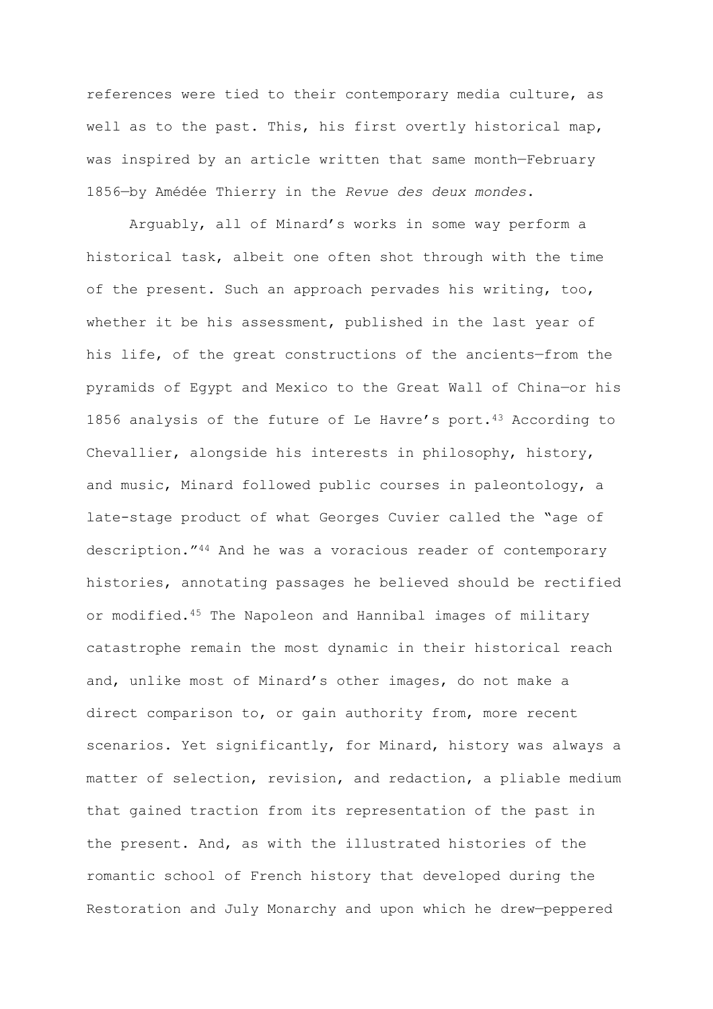references were tied to their contemporary media culture, as well as to the past. This, his first overtly historical map, was inspired by an article written that same month—February 1856—by Amédée Thierry in the *Revue des deux mondes*.

Arguably, all of Minard's works in some way perform a historical task, albeit one often shot through with the time of the present. Such an approach pervades his writing, too, whether it be his assessment, published in the last year of his life, of the great constructions of the ancients—from the pyramids of Egypt and Mexico to the Great Wall of China—or his 1856 analysis of the future of Le Havre's port.<sup>43</sup> According to Chevallier, alongside his interests in philosophy, history, and music, Minard followed public courses in paleontology, a late-stage product of what Georges Cuvier called the "age of description."<sup>44</sup> And he was a voracious reader of contemporary histories, annotating passages he believed should be rectified or modified.<sup>45</sup> The Napoleon and Hannibal images of military catastrophe remain the most dynamic in their historical reach and, unlike most of Minard's other images, do not make a direct comparison to, or gain authority from, more recent scenarios. Yet significantly, for Minard, history was always a matter of selection, revision, and redaction, a pliable medium that gained traction from its representation of the past in the present. And, as with the illustrated histories of the romantic school of French history that developed during the Restoration and July Monarchy and upon which he drew—peppered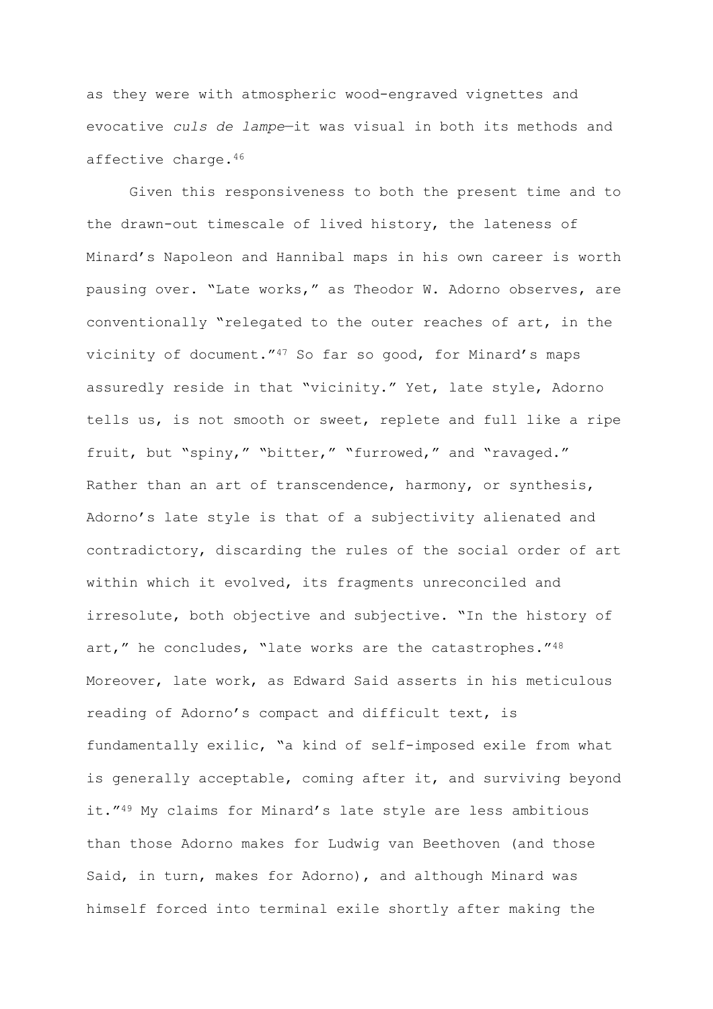as they were with atmospheric wood-engraved vignettes and evocative *culs de lampe*—it was visual in both its methods and affective charge.<sup>46</sup>

Given this responsiveness to both the present time and to the drawn-out timescale of lived history, the lateness of Minard's Napoleon and Hannibal maps in his own career is worth pausing over. "Late works," as Theodor W. Adorno observes, are conventionally "relegated to the outer reaches of art, in the vicinity of document."<sup>47</sup> So far so good, for Minard's maps assuredly reside in that "vicinity." Yet, late style, Adorno tells us, is not smooth or sweet, replete and full like a ripe fruit, but "spiny," "bitter," "furrowed," and "ravaged." Rather than an art of transcendence, harmony, or synthesis, Adorno's late style is that of a subjectivity alienated and contradictory, discarding the rules of the social order of art within which it evolved, its fragments unreconciled and irresolute, both objective and subjective. "In the history of art," he concludes, "late works are the catastrophes."48 Moreover, late work, as Edward Said asserts in his meticulous reading of Adorno's compact and difficult text, is fundamentally exilic, "a kind of self-imposed exile from what is generally acceptable, coming after it, and surviving beyond it."<sup>49</sup> My claims for Minard's late style are less ambitious than those Adorno makes for Ludwig van Beethoven (and those Said, in turn, makes for Adorno), and although Minard was himself forced into terminal exile shortly after making the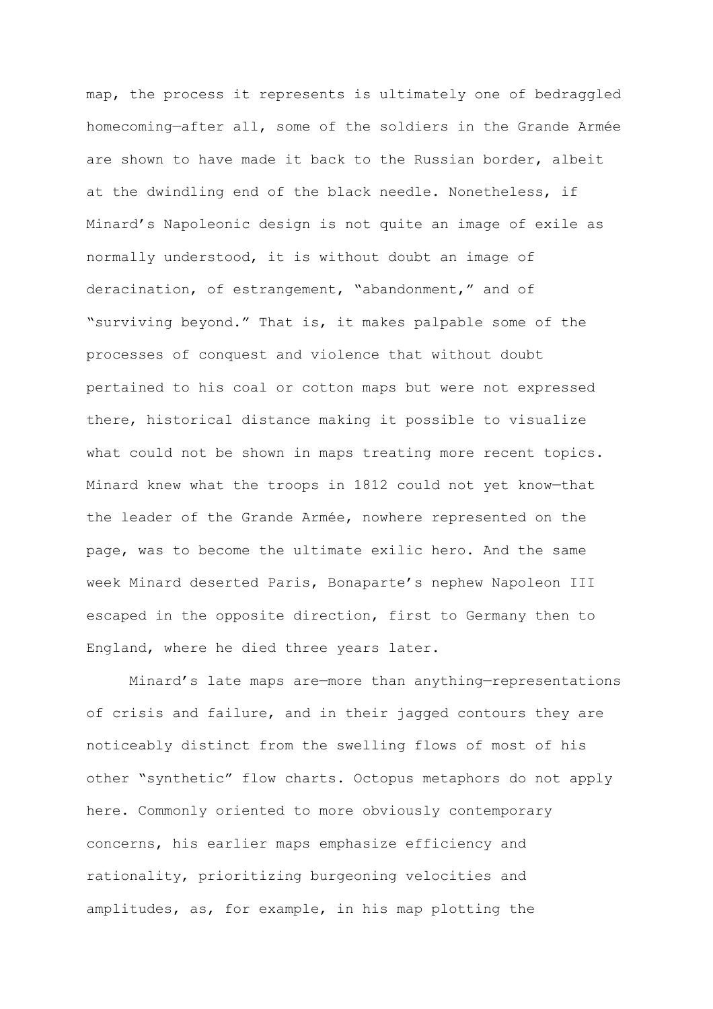map, the process it represents is ultimately one of bedraggled homecoming—after all, some of the soldiers in the Grande Armée are shown to have made it back to the Russian border, albeit at the dwindling end of the black needle. Nonetheless, if Minard's Napoleonic design is not quite an image of exile as normally understood, it is without doubt an image of deracination, of estrangement, "abandonment," and of "surviving beyond." That is, it makes palpable some of the processes of conquest and violence that without doubt pertained to his coal or cotton maps but were not expressed there, historical distance making it possible to visualize what could not be shown in maps treating more recent topics. Minard knew what the troops in 1812 could not yet know—that the leader of the Grande Armée, nowhere represented on the page, was to become the ultimate exilic hero. And the same week Minard deserted Paris, Bonaparte's nephew Napoleon III escaped in the opposite direction, first to Germany then to England, where he died three years later.

Minard's late maps are—more than anything—representations of crisis and failure, and in their jagged contours they are noticeably distinct from the swelling flows of most of his other "synthetic" flow charts. Octopus metaphors do not apply here. Commonly oriented to more obviously contemporary concerns, his earlier maps emphasize efficiency and rationality, prioritizing burgeoning velocities and amplitudes, as, for example, in his map plotting the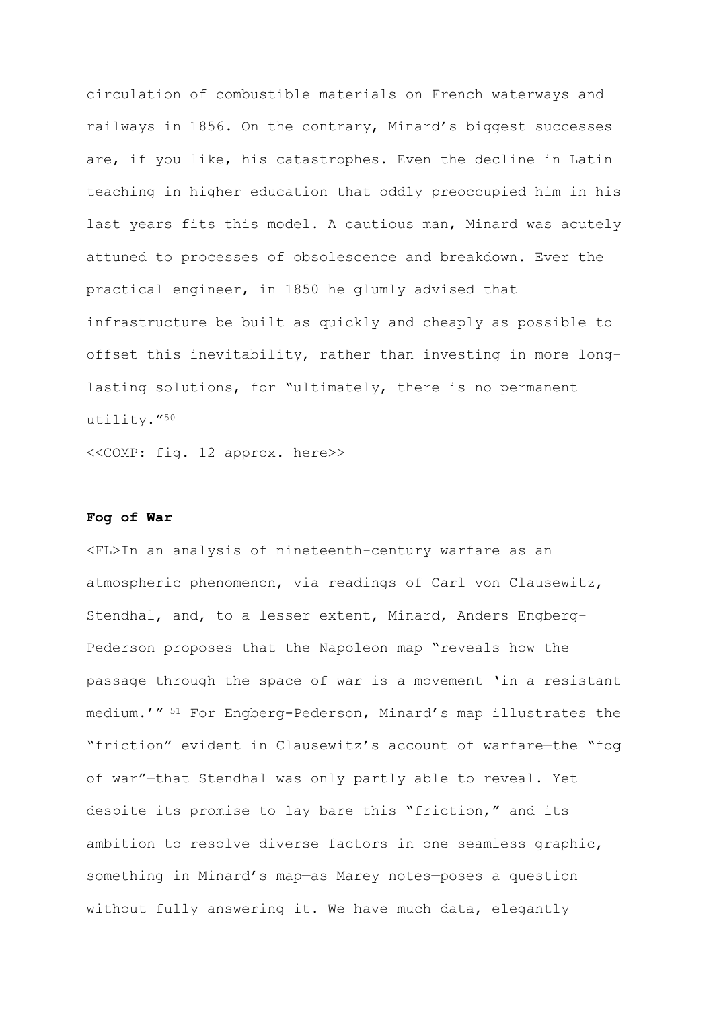circulation of combustible materials on French waterways and railways in 1856. On the contrary, Minard's biggest successes are, if you like, his catastrophes. Even the decline in Latin teaching in higher education that oddly preoccupied him in his last years fits this model. A cautious man, Minard was acutely attuned to processes of obsolescence and breakdown. Ever the practical engineer, in 1850 he glumly advised that infrastructure be built as quickly and cheaply as possible to offset this inevitability, rather than investing in more longlasting solutions, for "ultimately, there is no permanent utility."<sup>50</sup>

<<COMP: fig. 12 approx. here>>

### **Fog of War**

<FL>In an analysis of nineteenth-century warfare as an atmospheric phenomenon, via readings of Carl von Clausewitz, Stendhal, and, to a lesser extent, Minard, Anders Engberg-Pederson proposes that the Napoleon map "reveals how the passage through the space of war is a movement 'in a resistant medium.'" <sup>51</sup> For Engberg-Pederson, Minard's map illustrates the "friction" evident in Clausewitz's account of warfare—the "fog of war"—that Stendhal was only partly able to reveal. Yet despite its promise to lay bare this "friction," and its ambition to resolve diverse factors in one seamless graphic, something in Minard's map—as Marey notes—poses a question without fully answering it. We have much data, elegantly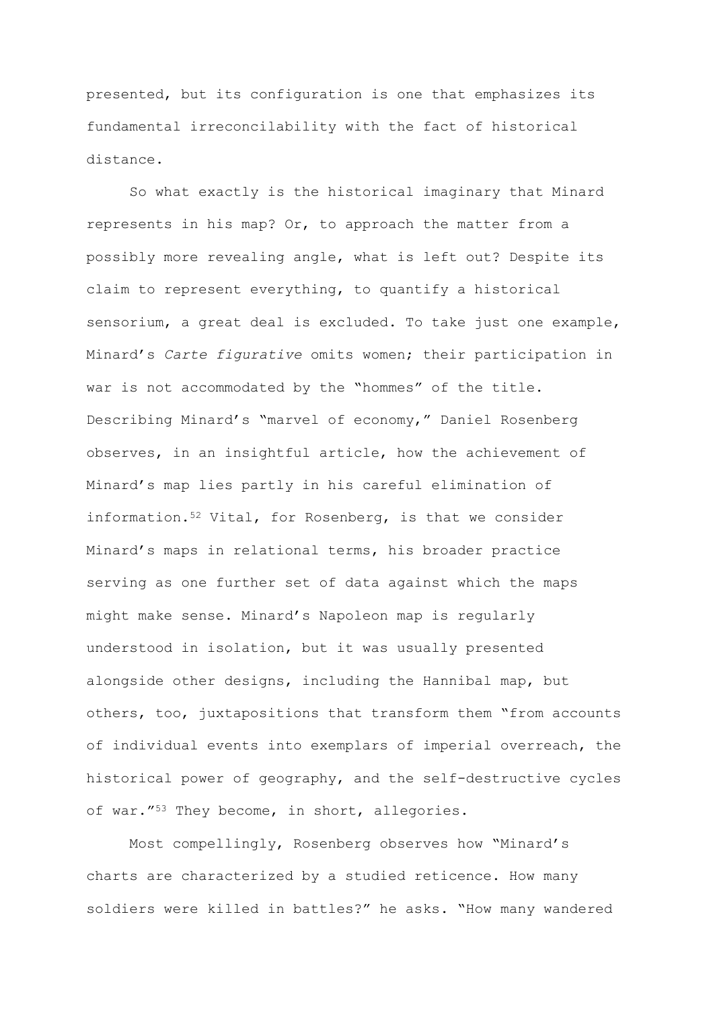presented, but its configuration is one that emphasizes its fundamental irreconcilability with the fact of historical distance.

So what exactly is the historical imaginary that Minard represents in his map? Or, to approach the matter from a possibly more revealing angle, what is left out? Despite its claim to represent everything, to quantify a historical sensorium, a great deal is excluded. To take just one example, Minard's *Carte figurative* omits women; their participation in war is not accommodated by the "hommes" of the title. Describing Minard's "marvel of economy," Daniel Rosenberg observes, in an insightful article, how the achievement of Minard's map lies partly in his careful elimination of information.<sup>52</sup> Vital, for Rosenberg, is that we consider Minard's maps in relational terms, his broader practice serving as one further set of data against which the maps might make sense. Minard's Napoleon map is regularly understood in isolation, but it was usually presented alongside other designs, including the Hannibal map, but others, too, juxtapositions that transform them "from accounts of individual events into exemplars of imperial overreach, the historical power of geography, and the self-destructive cycles of war."<sup>53</sup> They become, in short, allegories.

Most compellingly, Rosenberg observes how "Minard's charts are characterized by a studied reticence. How many soldiers were killed in battles?" he asks. "How many wandered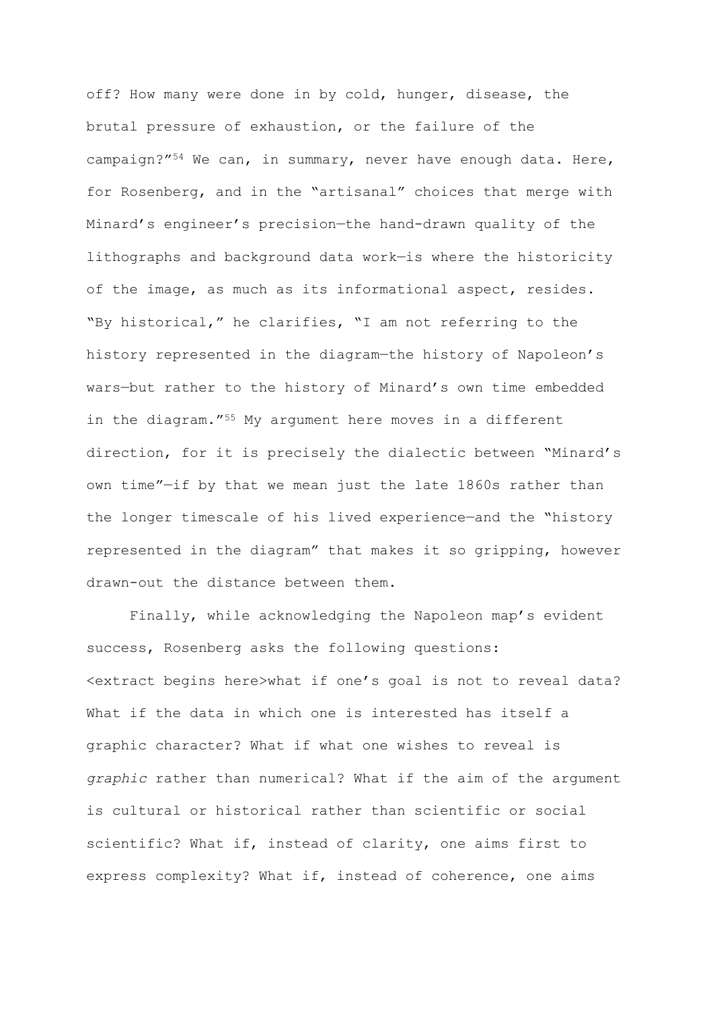off? How many were done in by cold, hunger, disease, the brutal pressure of exhaustion, or the failure of the campaign?"<sup>54</sup> We can, in summary, never have enough data. Here, for Rosenberg, and in the "artisanal" choices that merge with Minard's engineer's precision—the hand-drawn quality of the lithographs and background data work—is where the historicity of the image, as much as its informational aspect, resides. "By historical," he clarifies, "I am not referring to the history represented in the diagram—the history of Napoleon's wars—but rather to the history of Minard's own time embedded in the diagram."<sup>55</sup> My argument here moves in a different direction, for it is precisely the dialectic between "Minard's own time"—if by that we mean just the late 1860s rather than the longer timescale of his lived experience—and the "history represented in the diagram" that makes it so gripping, however drawn-out the distance between them.

Finally, while acknowledging the Napoleon map's evident success, Rosenberg asks the following questions: <extract begins here>what if one's goal is not to reveal data? What if the data in which one is interested has itself a graphic character? What if what one wishes to reveal is *graphic* rather than numerical? What if the aim of the argument is cultural or historical rather than scientific or social scientific? What if, instead of clarity, one aims first to express complexity? What if, instead of coherence, one aims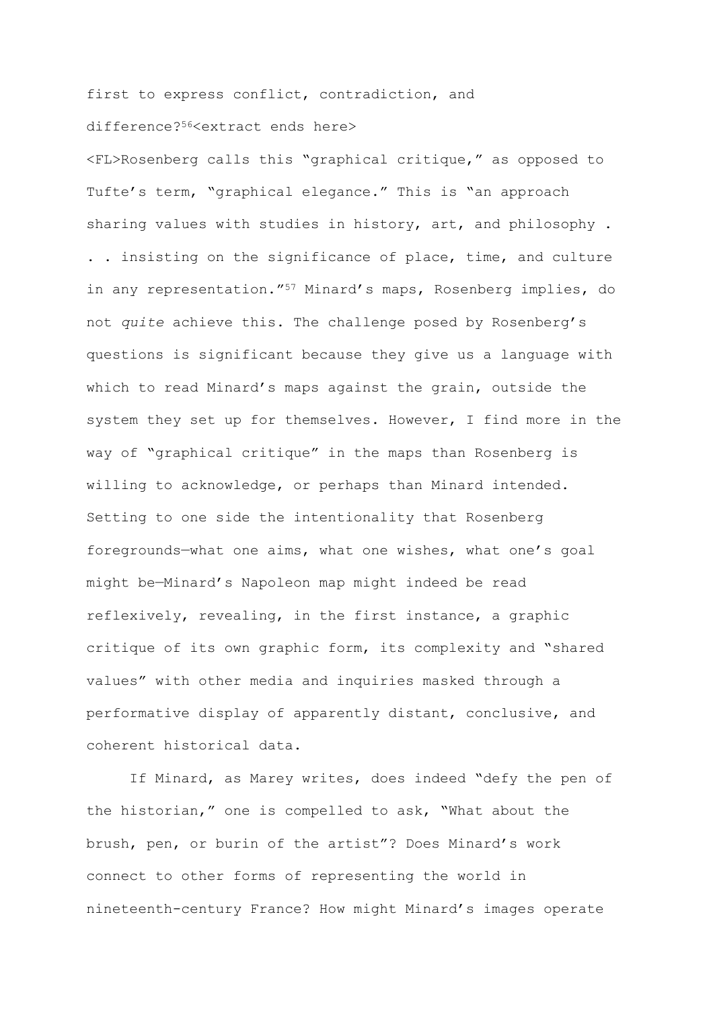first to express conflict, contradiction, and

## difference?56<extract ends here>

<FL>Rosenberg calls this "graphical critique," as opposed to Tufte's term, "graphical elegance." This is "an approach sharing values with studies in history, art, and philosophy . . . insisting on the significance of place, time, and culture in any representation."<sup>57</sup> Minard's maps, Rosenberg implies, do not *quite* achieve this. The challenge posed by Rosenberg's questions is significant because they give us a language with which to read Minard's maps against the grain, outside the system they set up for themselves. However, I find more in the way of "graphical critique" in the maps than Rosenberg is willing to acknowledge, or perhaps than Minard intended. Setting to one side the intentionality that Rosenberg foregrounds—what one aims, what one wishes, what one's goal might be—Minard's Napoleon map might indeed be read reflexively, revealing, in the first instance, a graphic critique of its own graphic form, its complexity and "shared values" with other media and inquiries masked through a performative display of apparently distant, conclusive, and coherent historical data.

If Minard, as Marey writes, does indeed "defy the pen of the historian," one is compelled to ask, "What about the brush, pen, or burin of the artist"? Does Minard's work connect to other forms of representing the world in nineteenth-century France? How might Minard's images operate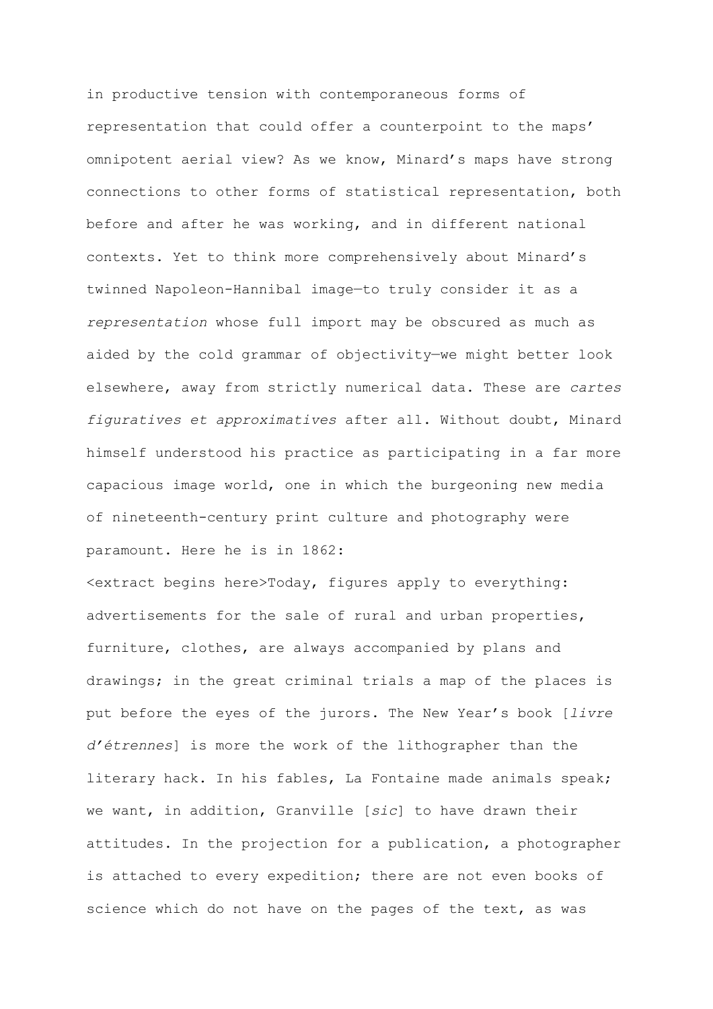in productive tension with contemporaneous forms of representation that could offer a counterpoint to the maps' omnipotent aerial view? As we know, Minard's maps have strong connections to other forms of statistical representation, both before and after he was working, and in different national contexts. Yet to think more comprehensively about Minard's twinned Napoleon-Hannibal image—to truly consider it as a *representation* whose full import may be obscured as much as aided by the cold grammar of objectivity—we might better look elsewhere, away from strictly numerical data. These are *cartes figuratives et approximatives* after all. Without doubt, Minard himself understood his practice as participating in a far more capacious image world, one in which the burgeoning new media of nineteenth-century print culture and photography were paramount. Here he is in 1862:

<extract begins here>Today, figures apply to everything: advertisements for the sale of rural and urban properties, furniture, clothes, are always accompanied by plans and drawings; in the great criminal trials a map of the places is put before the eyes of the jurors. The New Year's book [*livre d'étrennes*] is more the work of the lithographer than the literary hack. In his fables, La Fontaine made animals speak; we want, in addition, Granville [*sic*] to have drawn their attitudes. In the projection for a publication, a photographer is attached to every expedition; there are not even books of science which do not have on the pages of the text, as was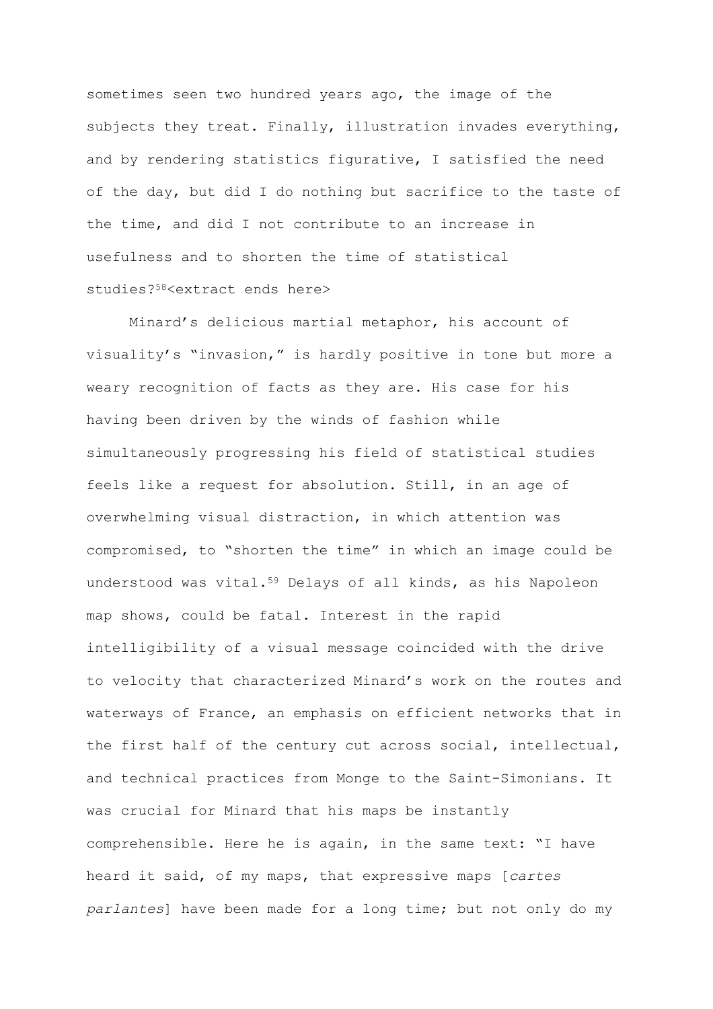sometimes seen two hundred years ago, the image of the subjects they treat. Finally, illustration invades everything, and by rendering statistics figurative, I satisfied the need of the day, but did I do nothing but sacrifice to the taste of the time, and did I not contribute to an increase in usefulness and to shorten the time of statistical studies?58<extract ends here>

Minard's delicious martial metaphor, his account of visuality's "invasion," is hardly positive in tone but more a weary recognition of facts as they are. His case for his having been driven by the winds of fashion while simultaneously progressing his field of statistical studies feels like a request for absolution. Still, in an age of overwhelming visual distraction, in which attention was compromised, to "shorten the time" in which an image could be understood was vital.<sup>59</sup> Delays of all kinds, as his Napoleon map shows, could be fatal. Interest in the rapid intelligibility of a visual message coincided with the drive to velocity that characterized Minard's work on the routes and waterways of France, an emphasis on efficient networks that in the first half of the century cut across social, intellectual, and technical practices from Monge to the Saint-Simonians. It was crucial for Minard that his maps be instantly comprehensible. Here he is again, in the same text: "I have heard it said, of my maps, that expressive maps [*cartes parlantes*] have been made for a long time; but not only do my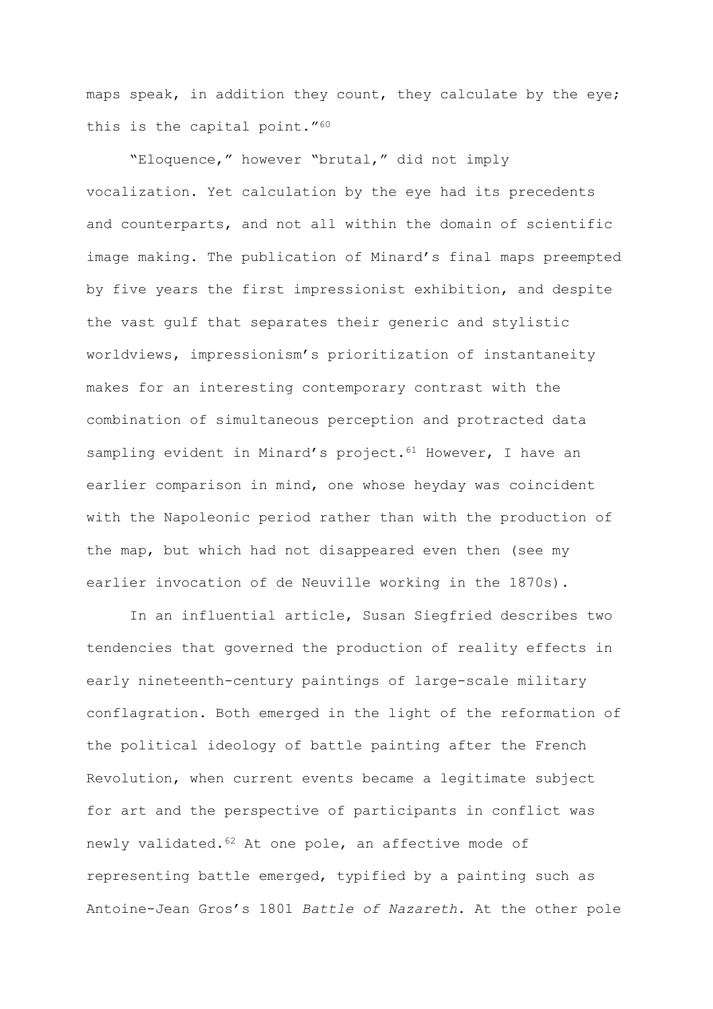maps speak, in addition they count, they calculate by the eye; this is the capital point."<sup>60</sup>

"Eloquence," however "brutal," did not imply vocalization. Yet calculation by the eye had its precedents and counterparts, and not all within the domain of scientific image making. The publication of Minard's final maps preempted by five years the first impressionist exhibition, and despite the vast gulf that separates their generic and stylistic worldviews, impressionism's prioritization of instantaneity makes for an interesting contemporary contrast with the combination of simultaneous perception and protracted data sampling evident in Minard's project.<sup>61</sup> However, I have an earlier comparison in mind, one whose heyday was coincident with the Napoleonic period rather than with the production of the map, but which had not disappeared even then (see my earlier invocation of de Neuville working in the 1870s).

In an influential article, Susan Siegfried describes two tendencies that governed the production of reality effects in early nineteenth-century paintings of large-scale military conflagration. Both emerged in the light of the reformation of the political ideology of battle painting after the French Revolution, when current events became a legitimate subject for art and the perspective of participants in conflict was newly validated.<sup>62</sup> At one pole, an affective mode of representing battle emerged, typified by a painting such as Antoine-Jean Gros's 1801 *Battle of Nazareth*. At the other pole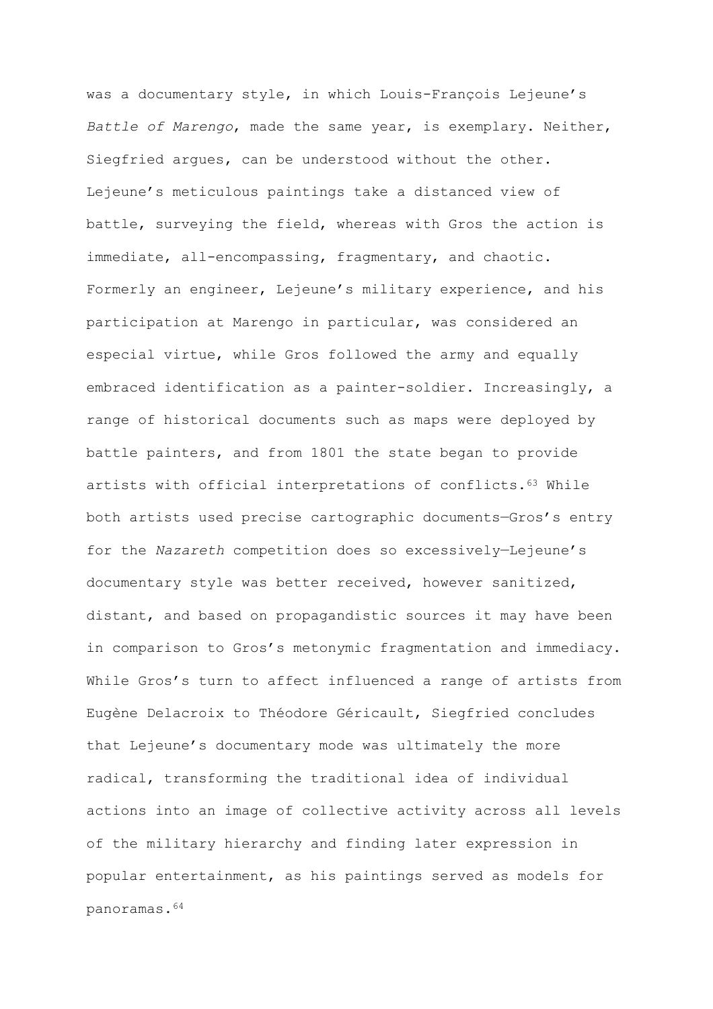was a documentary style, in which Louis-François Lejeune's *Battle of Marengo*, made the same year, is exemplary. Neither, Siegfried argues, can be understood without the other. Lejeune's meticulous paintings take a distanced view of battle, surveying the field, whereas with Gros the action is immediate, all-encompassing, fragmentary, and chaotic. Formerly an engineer, Lejeune's military experience, and his participation at Marengo in particular, was considered an especial virtue, while Gros followed the army and equally embraced identification as a painter-soldier. Increasingly, a range of historical documents such as maps were deployed by battle painters, and from 1801 the state began to provide artists with official interpretations of conflicts.<sup>63</sup> While both artists used precise cartographic documents—Gros's entry for the *Nazareth* competition does so excessively—Lejeune's documentary style was better received, however sanitized, distant, and based on propagandistic sources it may have been in comparison to Gros's metonymic fragmentation and immediacy. While Gros's turn to affect influenced a range of artists from Eugène Delacroix to Théodore Géricault, Siegfried concludes that Lejeune's documentary mode was ultimately the more radical, transforming the traditional idea of individual actions into an image of collective activity across all levels of the military hierarchy and finding later expression in popular entertainment, as his paintings served as models for panoramas.64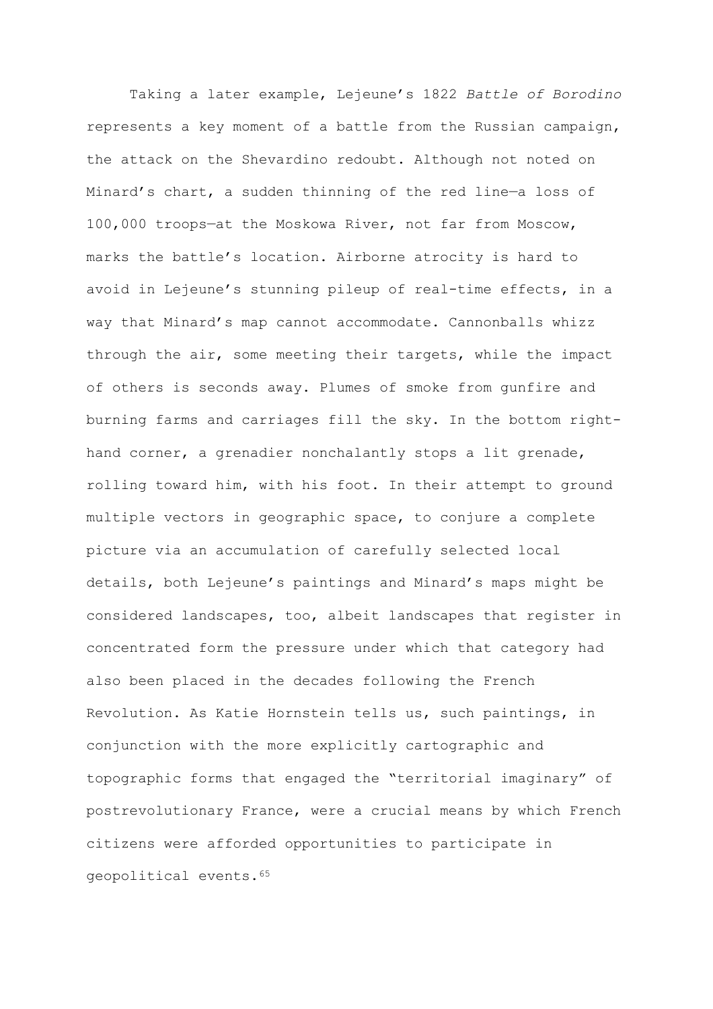Taking a later example, Lejeune's 1822 *Battle of Borodino* represents a key moment of a battle from the Russian campaign, the attack on the Shevardino redoubt. Although not noted on Minard's chart, a sudden thinning of the red line—a loss of 100,000 troops—at the Moskowa River, not far from Moscow, marks the battle's location. Airborne atrocity is hard to avoid in Lejeune's stunning pileup of real-time effects, in a way that Minard's map cannot accommodate. Cannonballs whizz through the air, some meeting their targets, while the impact of others is seconds away. Plumes of smoke from gunfire and burning farms and carriages fill the sky. In the bottom righthand corner, a grenadier nonchalantly stops a lit grenade, rolling toward him, with his foot. In their attempt to ground multiple vectors in geographic space, to conjure a complete picture via an accumulation of carefully selected local details, both Lejeune's paintings and Minard's maps might be considered landscapes, too, albeit landscapes that register in concentrated form the pressure under which that category had also been placed in the decades following the French Revolution. As Katie Hornstein tells us, such paintings, in conjunction with the more explicitly cartographic and topographic forms that engaged the "territorial imaginary" of postrevolutionary France, were a crucial means by which French citizens were afforded opportunities to participate in geopolitical events.65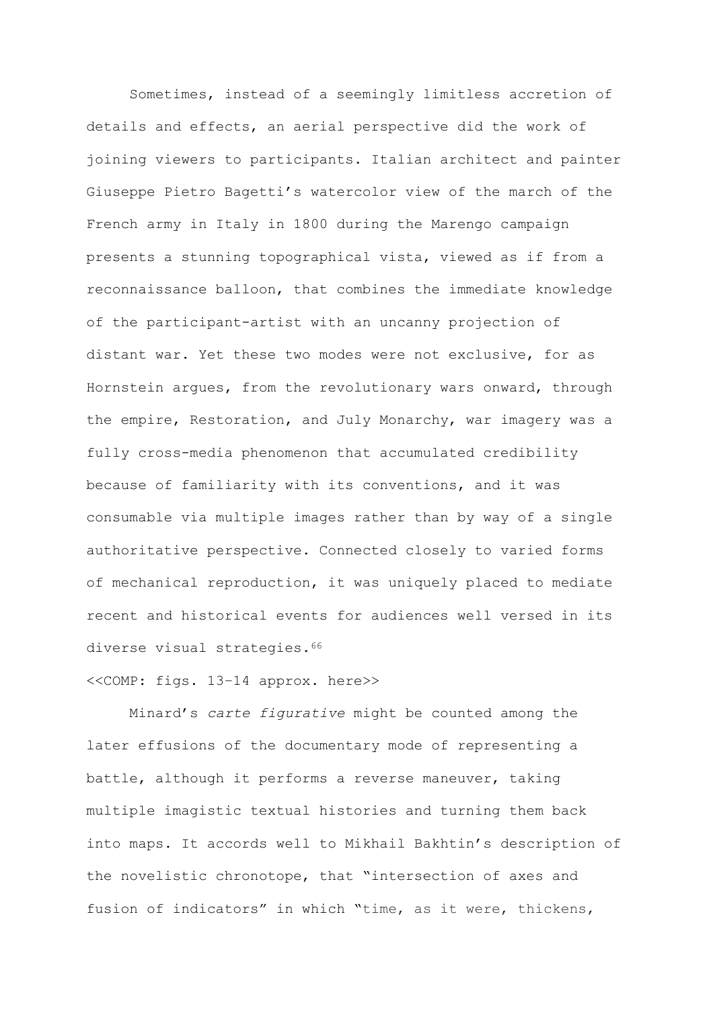Sometimes, instead of a seemingly limitless accretion of details and effects, an aerial perspective did the work of joining viewers to participants. Italian architect and painter Giuseppe Pietro Bagetti's watercolor view of the march of the French army in Italy in 1800 during the Marengo campaign presents a stunning topographical vista, viewed as if from a reconnaissance balloon, that combines the immediate knowledge of the participant-artist with an uncanny projection of distant war. Yet these two modes were not exclusive, for as Hornstein argues, from the revolutionary wars onward, through the empire, Restoration, and July Monarchy, war imagery was a fully cross-media phenomenon that accumulated credibility because of familiarity with its conventions, and it was consumable via multiple images rather than by way of a single authoritative perspective. Connected closely to varied forms of mechanical reproduction, it was uniquely placed to mediate recent and historical events for audiences well versed in its diverse visual strategies.<sup>66</sup>

<<COMP: figs. 13–14 approx. here>>

Minard's *carte figurative* might be counted among the later effusions of the documentary mode of representing a battle, although it performs a reverse maneuver, taking multiple imagistic textual histories and turning them back into maps. It accords well to Mikhail Bakhtin's description of the novelistic chronotope, that "intersection of axes and fusion of indicators" in which "time, as it were, thickens,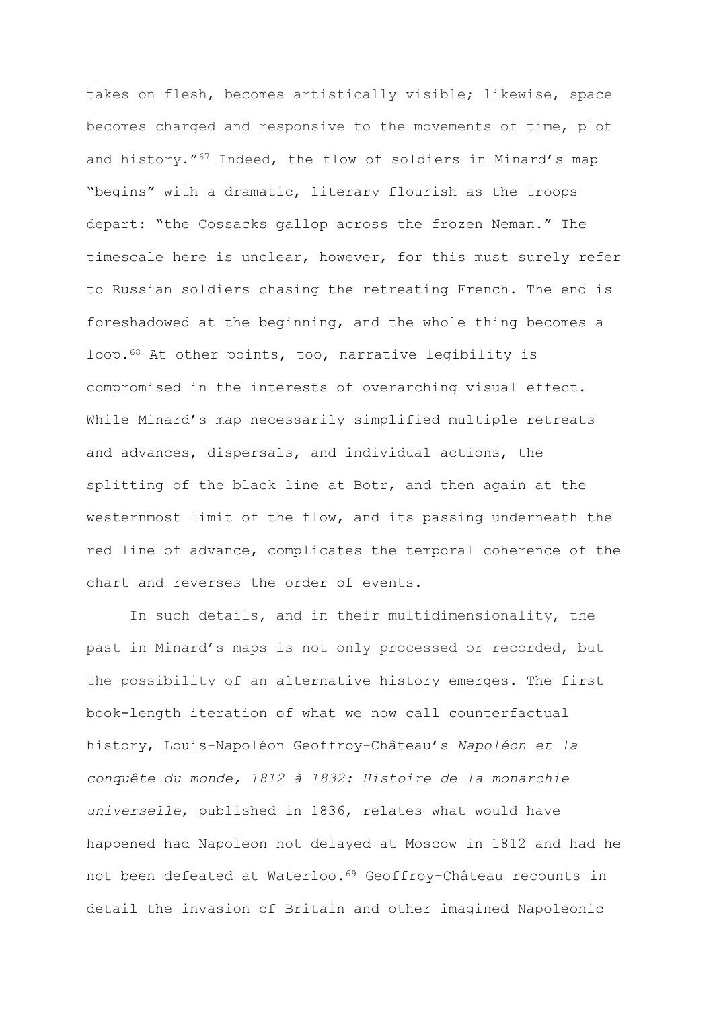takes on flesh, becomes artistically visible; likewise, space becomes charged and responsive to the movements of time, plot and history."<sup>67</sup> Indeed, the flow of soldiers in Minard's map "begins" with a dramatic, literary flourish as the troops depart: "the Cossacks gallop across the frozen Neman." The timescale here is unclear, however, for this must surely refer to Russian soldiers chasing the retreating French. The end is foreshadowed at the beginning, and the whole thing becomes a loop.<sup>68</sup> At other points, too, narrative legibility is compromised in the interests of overarching visual effect. While Minard's map necessarily simplified multiple retreats and advances, dispersals, and individual actions, the splitting of the black line at Botr, and then again at the westernmost limit of the flow, and its passing underneath the red line of advance, complicates the temporal coherence of the chart and reverses the order of events.

In such details, and in their multidimensionality, the past in Minard's maps is not only processed or recorded, but the possibility of an alternative history emerges. The first book-length iteration of what we now call counterfactual history, Louis-Napoléon Geoffroy-Château's *Napoléon et la conquête du monde, 1812 à 1832: Histoire de la monarchie universelle*, published in 1836, relates what would have happened had Napoleon not delayed at Moscow in 1812 and had he not been defeated at Waterloo.<sup>69</sup> Geoffroy-Château recounts in detail the invasion of Britain and other imagined Napoleonic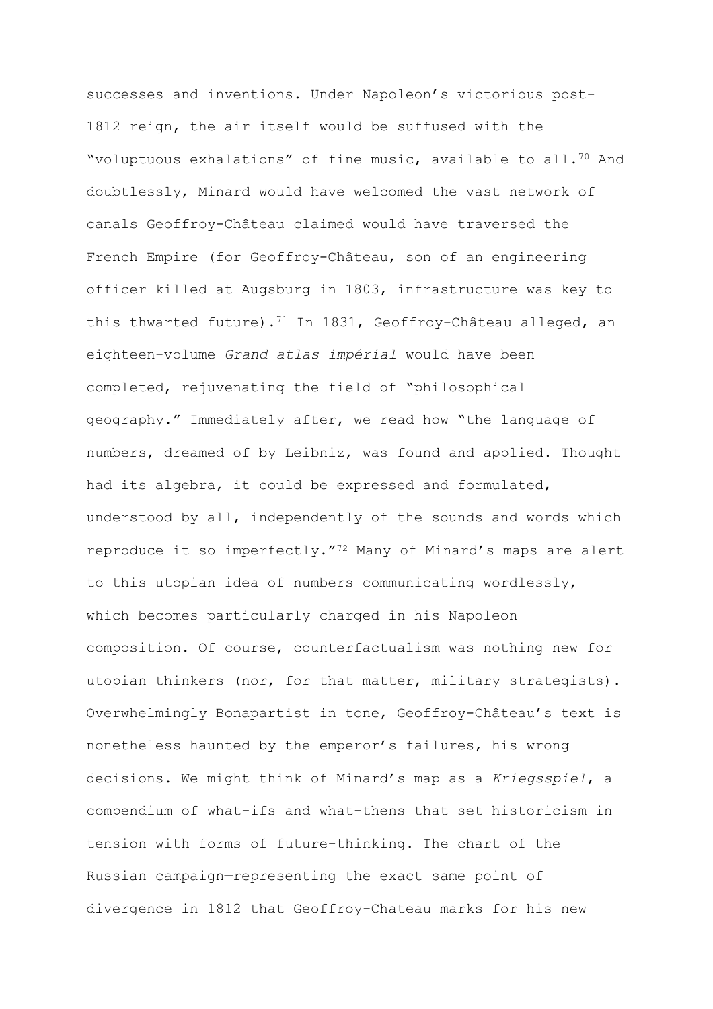successes and inventions. Under Napoleon's victorious post-1812 reign, the air itself would be suffused with the "voluptuous exhalations" of fine music, available to all.<sup>70</sup> And doubtlessly, Minard would have welcomed the vast network of canals Geoffroy-Château claimed would have traversed the French Empire (for Geoffroy-Château, son of an engineering officer killed at Augsburg in 1803, infrastructure was key to this thwarted future).<sup>71</sup> In 1831, Geoffroy-Château alleged, an eighteen-volume *Grand atlas impérial* would have been completed, rejuvenating the field of "philosophical geography." Immediately after, we read how "the language of numbers, dreamed of by Leibniz, was found and applied. Thought had its algebra, it could be expressed and formulated, understood by all, independently of the sounds and words which reproduce it so imperfectly."<sup>72</sup> Many of Minard's maps are alert to this utopian idea of numbers communicating wordlessly, which becomes particularly charged in his Napoleon composition. Of course, counterfactualism was nothing new for utopian thinkers (nor, for that matter, military strategists). Overwhelmingly Bonapartist in tone, Geoffroy-Château's text is nonetheless haunted by the emperor's failures, his wrong decisions. We might think of Minard's map as a *Kriegsspiel*, a compendium of what-ifs and what-thens that set historicism in tension with forms of future-thinking. The chart of the Russian campaign—representing the exact same point of divergence in 1812 that Geoffroy-Chateau marks for his new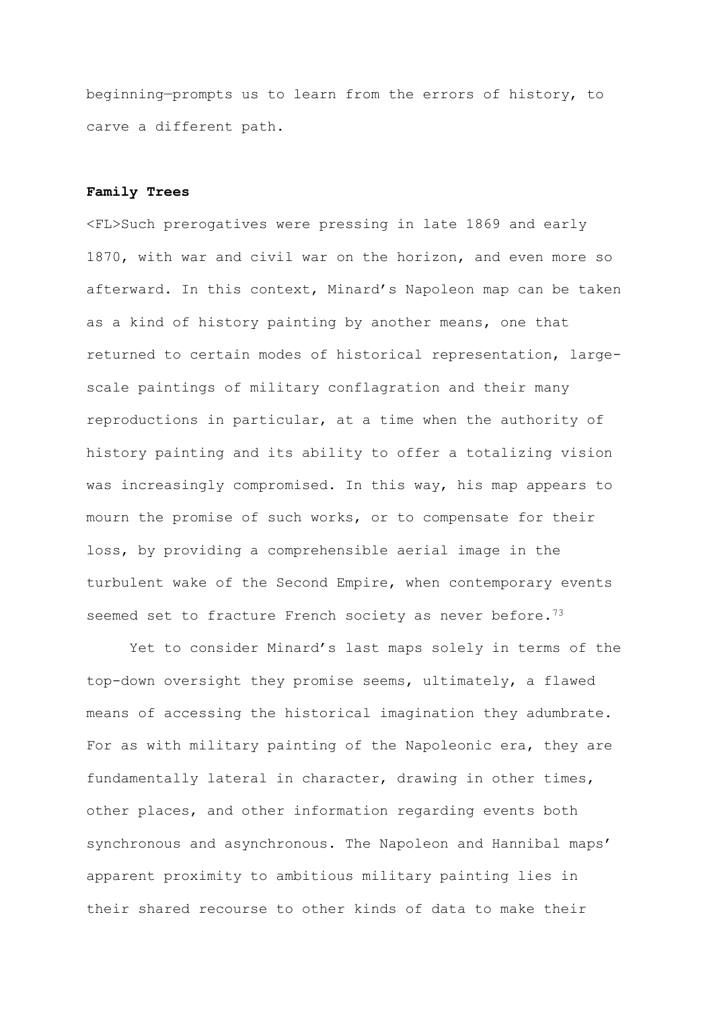beginning—prompts us to learn from the errors of history, to carve a different path.

#### **Family Trees**

<FL>Such prerogatives were pressing in late 1869 and early 1870, with war and civil war on the horizon, and even more so afterward. In this context, Minard's Napoleon map can be taken as a kind of history painting by another means, one that returned to certain modes of historical representation, largescale paintings of military conflagration and their many reproductions in particular, at a time when the authority of history painting and its ability to offer a totalizing vision was increasingly compromised. In this way, his map appears to mourn the promise of such works, or to compensate for their loss, by providing a comprehensible aerial image in the turbulent wake of the Second Empire, when contemporary events seemed set to fracture French society as never before.<sup>73</sup>

Yet to consider Minard's last maps solely in terms of the top-down oversight they promise seems, ultimately, a flawed means of accessing the historical imagination they adumbrate. For as with military painting of the Napoleonic era, they are fundamentally lateral in character, drawing in other times, other places, and other information regarding events both synchronous and asynchronous. The Napoleon and Hannibal maps' apparent proximity to ambitious military painting lies in their shared recourse to other kinds of data to make their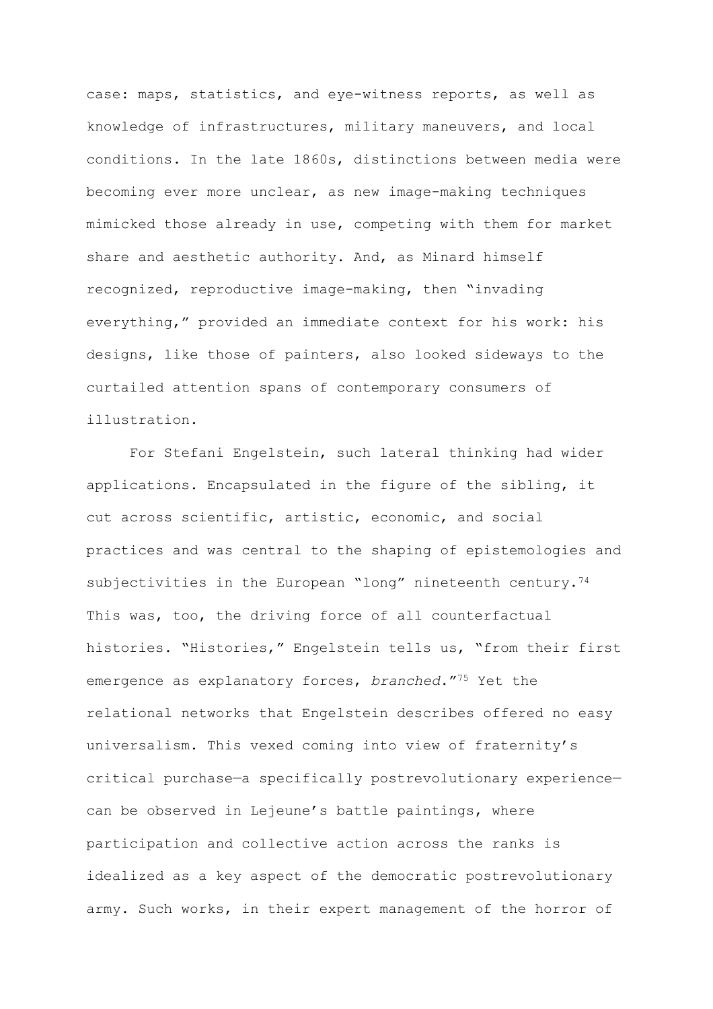case: maps, statistics, and eye-witness reports, as well as knowledge of infrastructures, military maneuvers, and local conditions. In the late 1860s, distinctions between media were becoming ever more unclear, as new image-making techniques mimicked those already in use, competing with them for market share and aesthetic authority. And, as Minard himself recognized, reproductive image-making, then "invading everything," provided an immediate context for his work: his designs, like those of painters, also looked sideways to the curtailed attention spans of contemporary consumers of illustration.

For Stefani Engelstein, such lateral thinking had wider applications. Encapsulated in the figure of the sibling, it cut across scientific, artistic, economic, and social practices and was central to the shaping of epistemologies and subjectivities in the European "long" nineteenth century.<sup>74</sup> This was, too, the driving force of all counterfactual histories. "Histories," Engelstein tells us, "from their first emergence as explanatory forces, *branched*."<sup>75</sup> Yet the relational networks that Engelstein describes offered no easy universalism. This vexed coming into view of fraternity's critical purchase—a specifically postrevolutionary experience can be observed in Lejeune's battle paintings, where participation and collective action across the ranks is idealized as a key aspect of the democratic postrevolutionary army. Such works, in their expert management of the horror of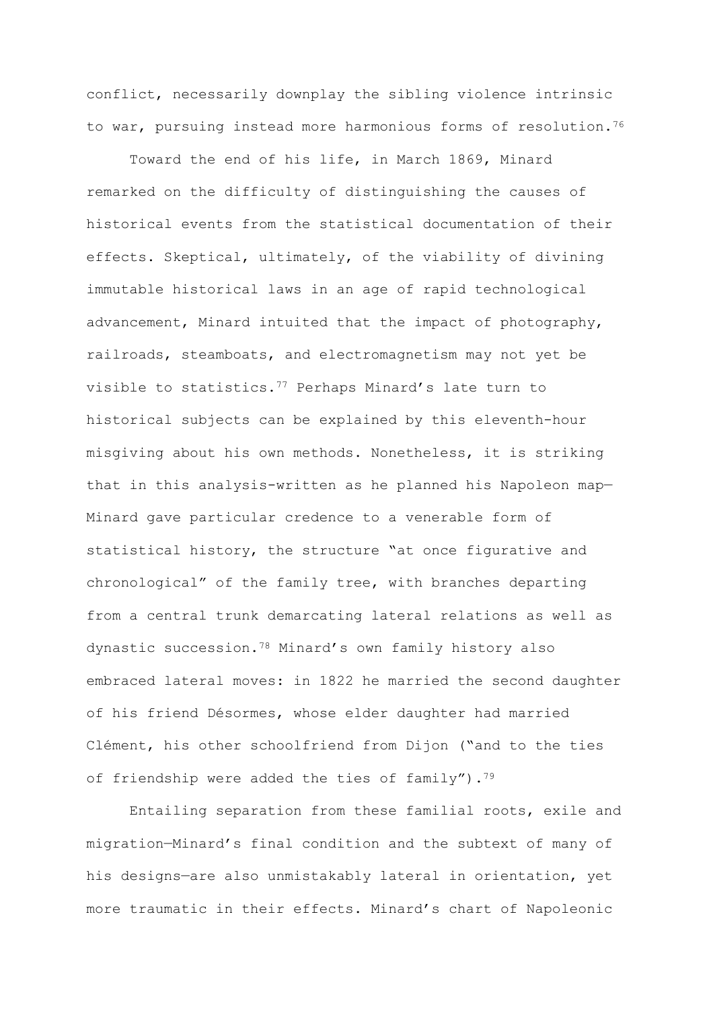conflict, necessarily downplay the sibling violence intrinsic to war, pursuing instead more harmonious forms of resolution.<sup>76</sup>

Toward the end of his life, in March 1869, Minard remarked on the difficulty of distinguishing the causes of historical events from the statistical documentation of their effects. Skeptical, ultimately, of the viability of divining immutable historical laws in an age of rapid technological advancement, Minard intuited that the impact of photography, railroads, steamboats, and electromagnetism may not yet be visible to statistics.<sup>77</sup> Perhaps Minard's late turn to historical subjects can be explained by this eleventh-hour misgiving about his own methods. Nonetheless, it is striking that in this analysis-written as he planned his Napoleon map— Minard gave particular credence to a venerable form of statistical history, the structure "at once figurative and chronological" of the family tree, with branches departing from a central trunk demarcating lateral relations as well as dynastic succession.<sup>78</sup> Minard's own family history also embraced lateral moves: in 1822 he married the second daughter of his friend Désormes, whose elder daughter had married Clément, his other schoolfriend from Dijon ("and to the ties of friendship were added the ties of family"). $79$ 

Entailing separation from these familial roots, exile and migration—Minard's final condition and the subtext of many of his designs—are also unmistakably lateral in orientation, yet more traumatic in their effects. Minard's chart of Napoleonic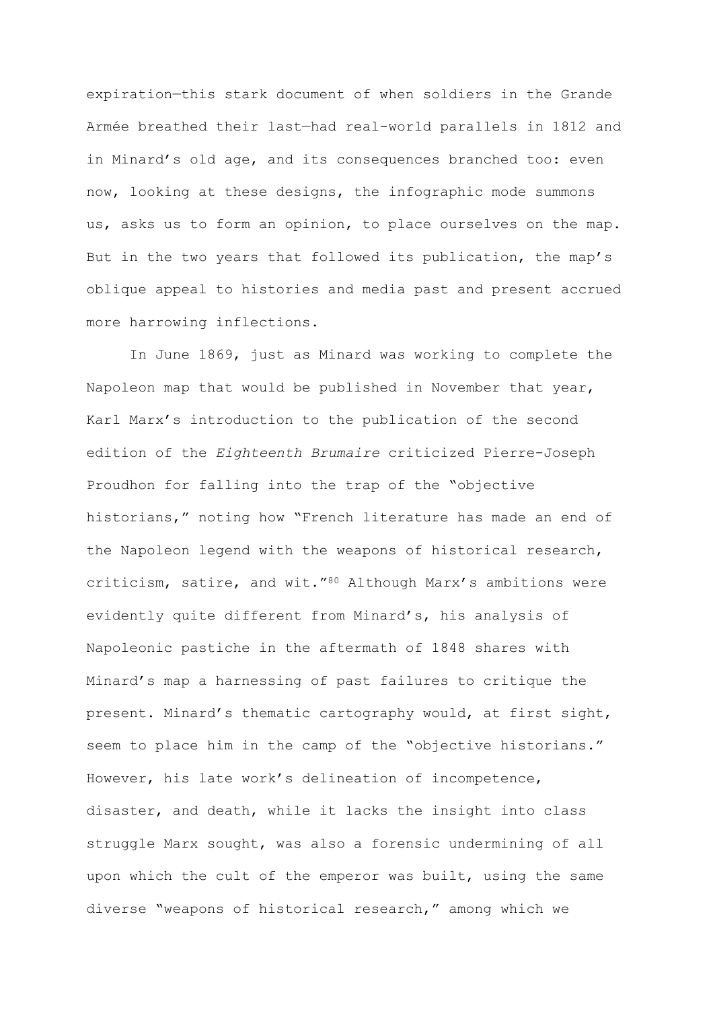expiration—this stark document of when soldiers in the Grande Armée breathed their last—had real-world parallels in 1812 and in Minard's old age, and its consequences branched too: even now, looking at these designs, the infographic mode summons us, asks us to form an opinion, to place ourselves on the map. But in the two years that followed its publication, the map's oblique appeal to histories and media past and present accrued more harrowing inflections.

In June 1869, just as Minard was working to complete the Napoleon map that would be published in November that year, Karl Marx's introduction to the publication of the second edition of the *Eighteenth Brumaire* criticized Pierre-Joseph Proudhon for falling into the trap of the "objective historians," noting how "French literature has made an end of the Napoleon legend with the weapons of historical research, criticism, satire, and wit."<sup>80</sup> Although Marx's ambitions were evidently quite different from Minard's, his analysis of Napoleonic pastiche in the aftermath of 1848 shares with Minard's map a harnessing of past failures to critique the present. Minard's thematic cartography would, at first sight, seem to place him in the camp of the "objective historians." However, his late work's delineation of incompetence, disaster, and death, while it lacks the insight into class struggle Marx sought, was also a forensic undermining of all upon which the cult of the emperor was built, using the same diverse "weapons of historical research," among which we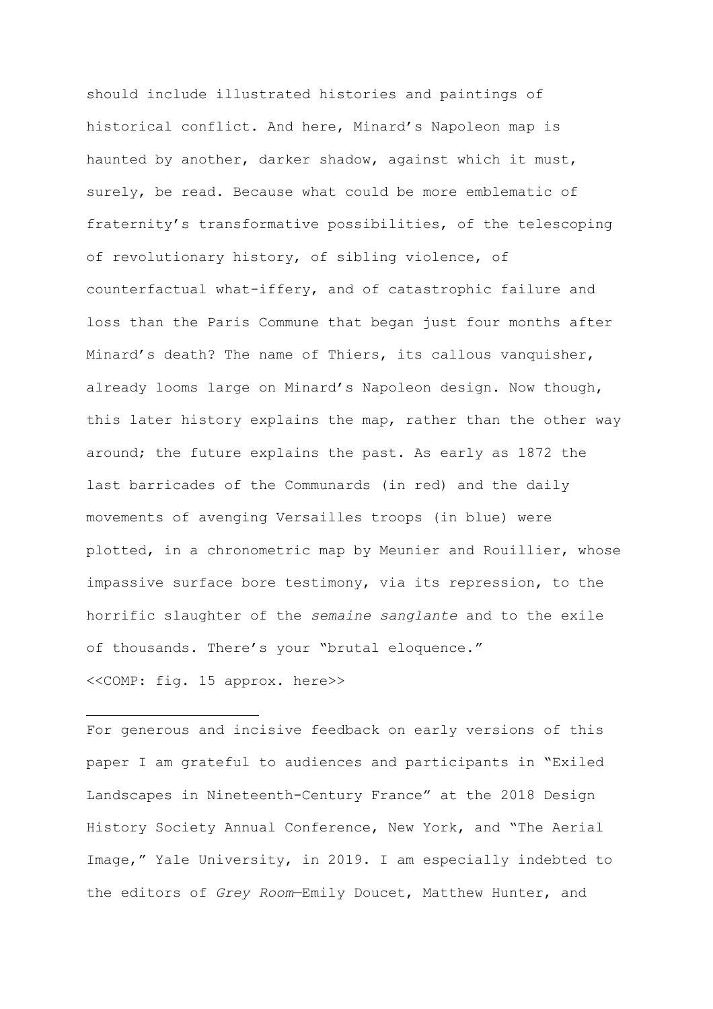should include illustrated histories and paintings of historical conflict. And here, Minard's Napoleon map is haunted by another, darker shadow, against which it must, surely, be read. Because what could be more emblematic of fraternity's transformative possibilities, of the telescoping of revolutionary history, of sibling violence, of counterfactual what-iffery, and of catastrophic failure and loss than the Paris Commune that began just four months after Minard's death? The name of Thiers, its callous vanquisher, already looms large on Minard's Napoleon design. Now though, this later history explains the map, rather than the other way around; the future explains the past. As early as 1872 the last barricades of the Communards (in red) and the daily movements of avenging Versailles troops (in blue) were plotted, in a chronometric map by Meunier and Rouillier, whose impassive surface bore testimony, via its repression, to the horrific slaughter of the *semaine sanglante* and to the exile of thousands. There's your "brutal eloquence." <<COMP: fig. 15 approx. here>>

For generous and incisive feedback on early versions of this paper I am grateful to audiences and participants in "Exiled Landscapes in Nineteenth-Century France" at the 2018 Design History Society Annual Conference, New York, and "The Aerial Image," Yale University, in 2019. I am especially indebted to the editors of *Grey Room*—Emily Doucet, Matthew Hunter, and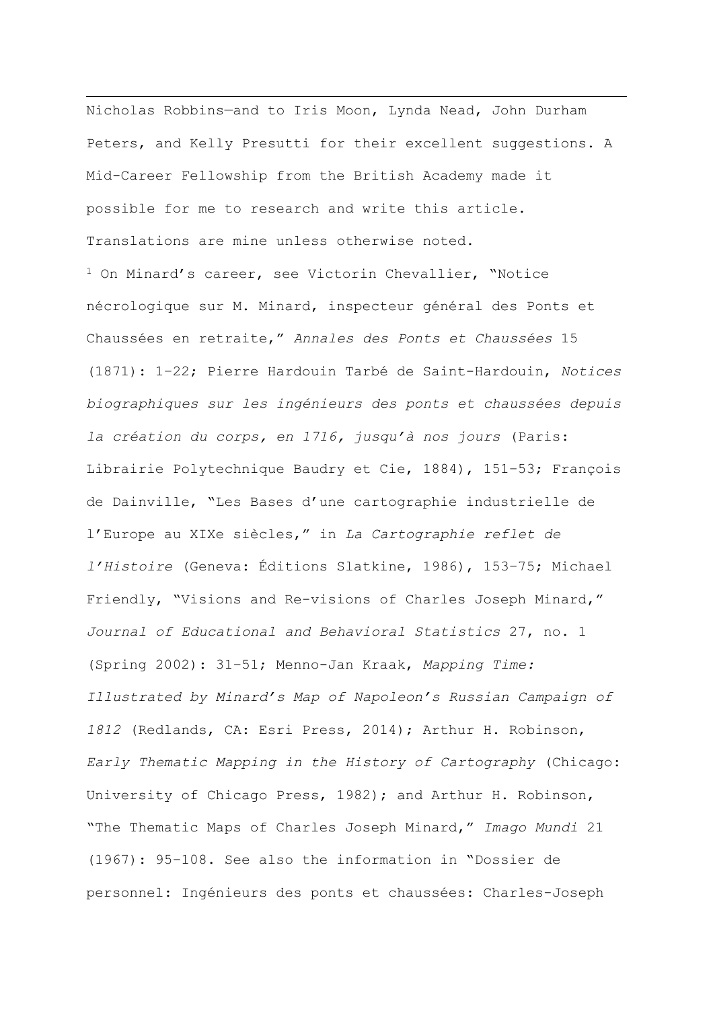Nicholas Robbins—and to Iris Moon, Lynda Nead, John Durham Peters, and Kelly Presutti for their excellent suggestions. A Mid-Career Fellowship from the British Academy made it possible for me to research and write this article. Translations are mine unless otherwise noted. <sup>1</sup> On Minard's career, see Victorin Chevallier, "Notice nécrologique sur M. Minard, inspecteur général des Ponts et Chaussées en retraite," *Annales des Ponts et Chaussées* 15 (1871): 1–22; Pierre Hardouin Tarbé de Saint-Hardouin, *Notices biographiques sur les ingénieurs des ponts et chaussées depuis la création du corps, en 1716, jusqu'à nos jours* (Paris: Librairie Polytechnique Baudry et Cie, 1884), 151–53; François de Dainville, "Les Bases d'une cartographie industrielle de l'Europe au XIXe siècles," in *La Cartographie reflet de l'Histoire* (Geneva: Éditions Slatkine, 1986), 153–75; Michael Friendly, "Visions and Re-visions of Charles Joseph Minard," *Journal of Educational and Behavioral Statistics* 27, no. 1 (Spring 2002): 31–51; Menno-Jan Kraak, *Mapping Time: Illustrated by Minard's Map of Napoleon's Russian Campaign of 1812* (Redlands, CA: Esri Press, 2014); Arthur H. Robinson, *Early Thematic Mapping in the History of Cartography* (Chicago: University of Chicago Press, 1982); and Arthur H. Robinson, "The Thematic Maps of Charles Joseph Minard," *Imago Mundi* 21 (1967): 95–108. See also the information in "Dossier de personnel: Ingénieurs des ponts et chaussées: Charles-Joseph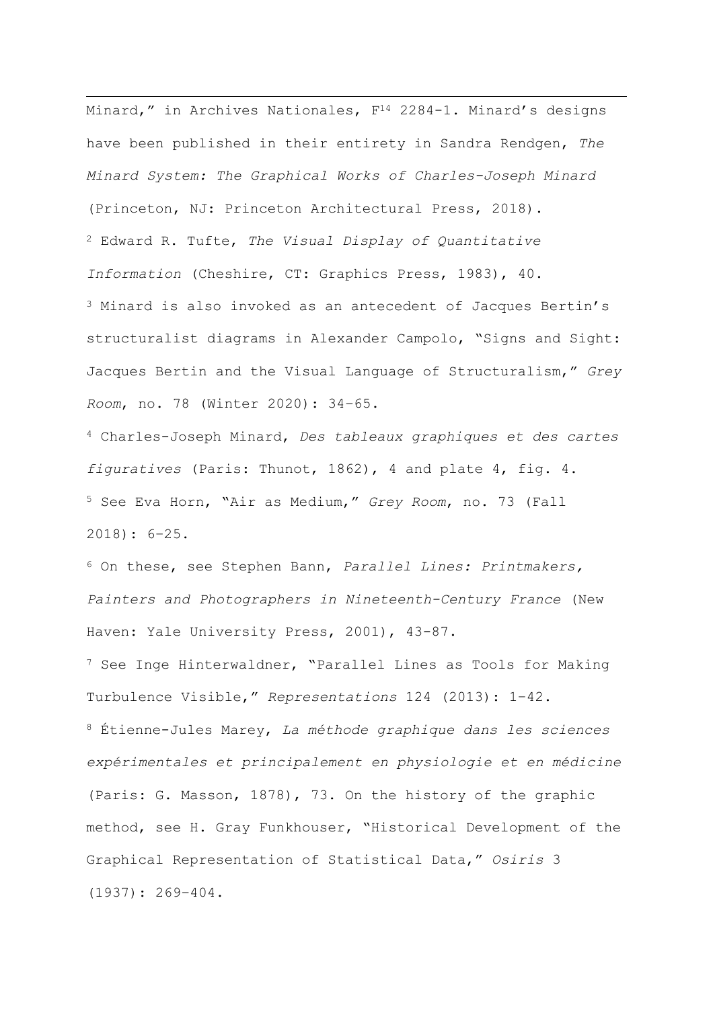Minard," in Archives Nationales, F<sup>14</sup> 2284-1. Minard's designs have been published in their entirety in Sandra Rendgen, *The Minard System: The Graphical Works of Charles-Joseph Minard* (Princeton, NJ: Princeton Architectural Press, 2018). <sup>2</sup> Edward R. Tufte, *The Visual Display of Quantitative Information* (Cheshire, CT: Graphics Press, 1983), 40. <sup>3</sup> Minard is also invoked as an antecedent of Jacques Bertin's structuralist diagrams in Alexander Campolo, "Signs and Sight: Jacques Bertin and the Visual Language of Structuralism," *Grey Room*, no. 78 (Winter 2020): 34–65.

<sup>4</sup> Charles-Joseph Minard, *Des tableaux graphiques et des cartes figuratives* (Paris: Thunot, 1862), 4 and plate 4, fig. 4. <sup>5</sup> See Eva Horn, "Air as Medium," *Grey Room*, no. 73 (Fall 2018): 6–25.

<sup>6</sup> On these, see Stephen Bann, *Parallel Lines: Printmakers, Painters and Photographers in Nineteenth-Century France* (New Haven: Yale University Press, 2001), 43-87.

<sup>7</sup> See Inge Hinterwaldner, "Parallel Lines as Tools for Making Turbulence Visible," *Representations* 124 (2013): 1–42. <sup>8</sup> Étienne-Jules Marey, *La méthode graphique dans les sciences expérimentales et principalement en physiologie et en médicine* (Paris: G. Masson, 1878), 73. On the history of the graphic method, see H. Gray Funkhouser, "Historical Development of the Graphical Representation of Statistical Data," *Osiris* 3 (1937): 269–404.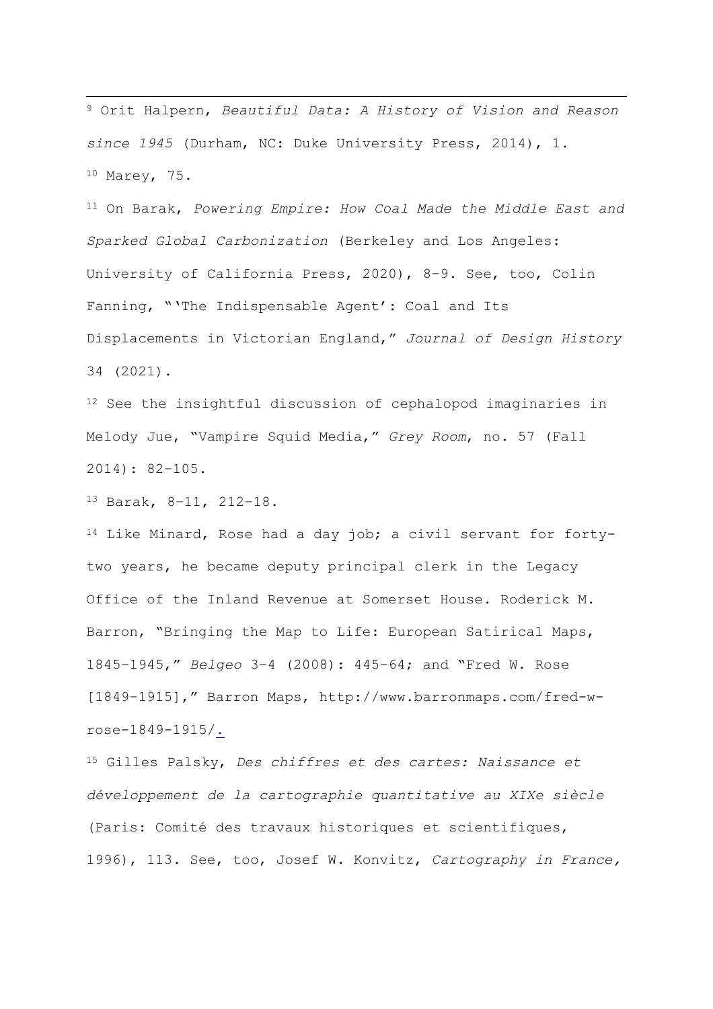<sup>9</sup> Orit Halpern, *Beautiful Data: A History of Vision and Reason since 1945* (Durham, NC: Duke University Press, 2014), 1. <sup>10</sup> Marey, 75.

<sup>11</sup> On Barak, *Powering Empire: How Coal Made the Middle East and Sparked Global Carbonization* (Berkeley and Los Angeles: University of California Press, 2020), 8–9. See, too, Colin Fanning, "'The Indispensable Agent': Coal and Its Displacements in Victorian England," *Journal of Design History* 34 (2021).

<sup>12</sup> See the insightful discussion of cephalopod imaginaries in Melody Jue, "Vampire Squid Media," *Grey Room*, no. 57 (Fall 2014): 82–105.

<sup>13</sup> Barak, 8–11, 212–18.

<sup>14</sup> Like Minard, Rose had a day job; a civil servant for fortytwo years, he became deputy principal clerk in the Legacy Office of the Inland Revenue at Somerset House. Roderick M. Barron, "Bringing the Map to Life: European Satirical Maps, 1845–1945," *Belgeo* 3–4 (2008): 445–64; and "Fred W. Rose [1849–1915]," Barron Maps, http://www.barronmaps.com/fred-wrose-1849-1915/.

<sup>15</sup> Gilles Palsky, *Des chiffres et des cartes: Naissance et développement de la cartographie quantitative au XIXe siècle* (Paris: Comité des travaux historiques et scientifiques, 1996), 113. See, too, Josef W. Konvitz, *Cartography in France,*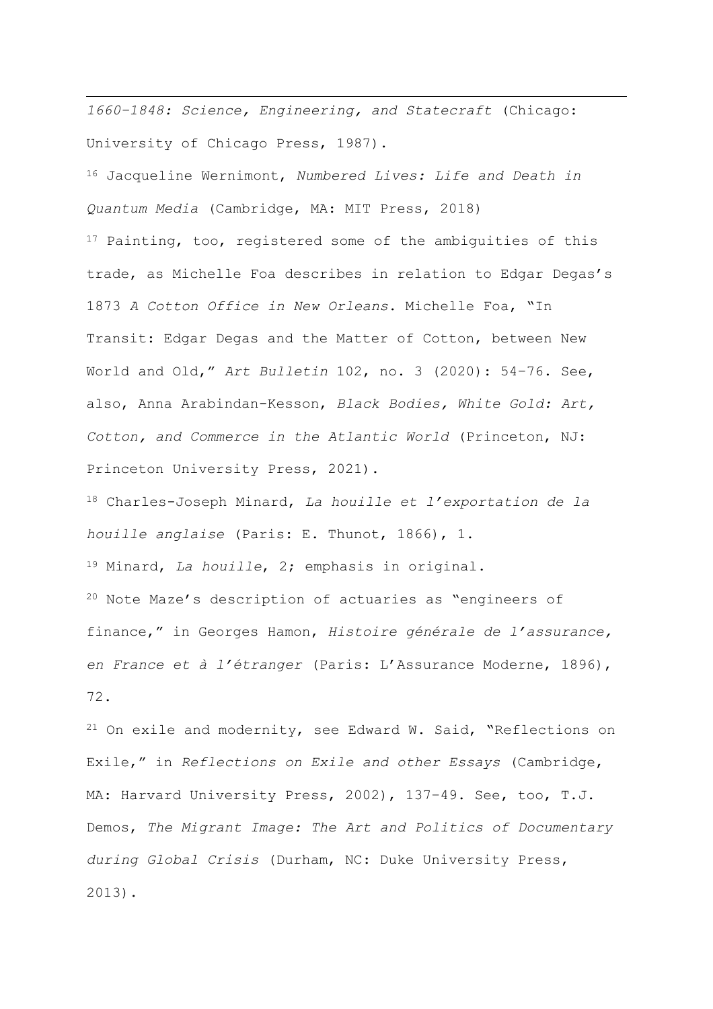*1660–1848: Science, Engineering, and Statecraft* (Chicago: University of Chicago Press, 1987).

<sup>16</sup> Jacqueline Wernimont, *Numbered Lives: Life and Death in Quantum Media* (Cambridge, MA: MIT Press, 2018)

<sup>17</sup> Painting, too, registered some of the ambiguities of this trade, as Michelle Foa describes in relation to Edgar Degas's 1873 *A Cotton Office in New Orleans*. Michelle Foa, "In Transit: Edgar Degas and the Matter of Cotton, between New World and Old," *Art Bulletin* 102, no. 3 (2020): 54–76. See, also, Anna Arabindan-Kesson, *Black Bodies, White Gold: Art, Cotton, and Commerce in the Atlantic World* (Princeton, NJ: Princeton University Press, 2021).

<sup>18</sup> Charles-Joseph Minard, *La houille et l'exportation de la houille anglaise* (Paris: E. Thunot, 1866), 1.

<sup>19</sup> Minard, *La houille*, 2; emphasis in original.

<sup>20</sup> Note Maze's description of actuaries as "engineers of finance," in Georges Hamon, *Histoire générale de l'assurance, en France et à l'étranger* (Paris: L'Assurance Moderne, 1896), 72.

<sup>21</sup> On exile and modernity, see Edward W. Said, "Reflections on Exile," in *Reflections on Exile and other Essays* (Cambridge, MA: Harvard University Press, 2002), 137–49. See, too, T.J. Demos, *The Migrant Image: The Art and Politics of Documentary during Global Crisis* (Durham, NC: Duke University Press, 2013).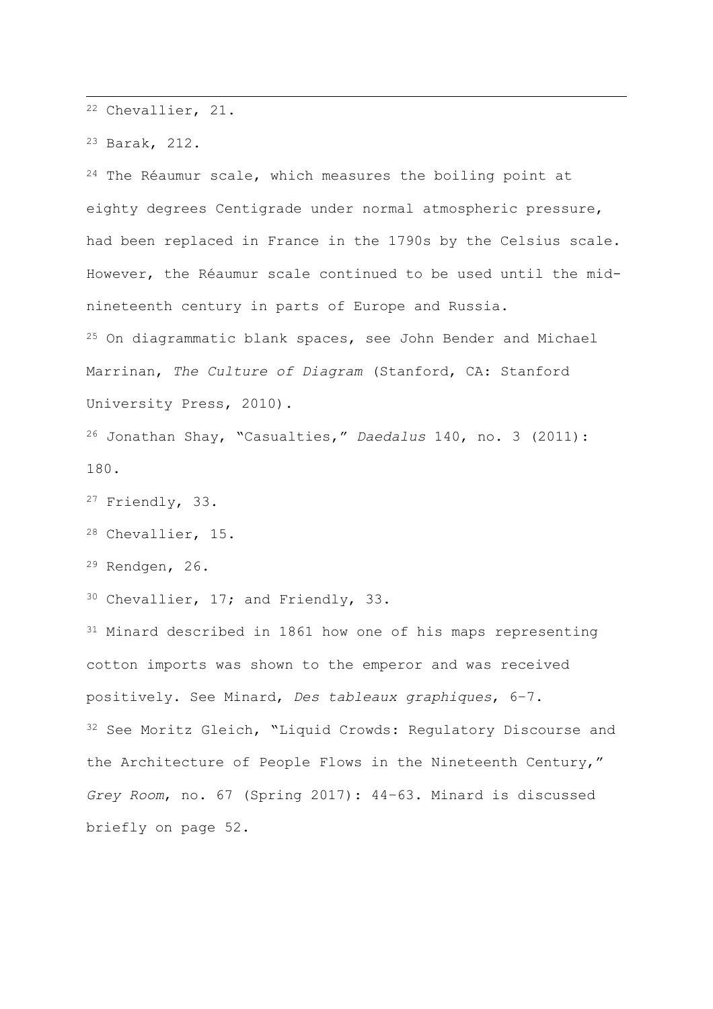<sup>22</sup> Chevallier, 21.

<sup>23</sup> Barak, 212.

<sup>24</sup> The Réaumur scale, which measures the boiling point at eighty degrees Centigrade under normal atmospheric pressure, had been replaced in France in the 1790s by the Celsius scale. However, the Réaumur scale continued to be used until the midnineteenth century in parts of Europe and Russia.

<sup>25</sup> On diagrammatic blank spaces, see John Bender and Michael Marrinan, *The Culture of Diagram* (Stanford, CA: Stanford University Press, 2010).

<sup>26</sup> Jonathan Shay, "Casualties," *Daedalus* 140, no. 3 (2011): 180.

<sup>27</sup> Friendly, 33.

<sup>28</sup> Chevallier, 15.

<sup>29</sup> Rendgen, 26.

30 Chevallier, 17; and Friendly, 33.

<sup>31</sup> Minard described in 1861 how one of his maps representing cotton imports was shown to the emperor and was received positively. See Minard, *Des tableaux graphiques*, 6–7. <sup>32</sup> See Moritz Gleich, "Liquid Crowds: Regulatory Discourse and the Architecture of People Flows in the Nineteenth Century," *Grey Room*, no. 67 (Spring 2017): 44–63. Minard is discussed briefly on page 52.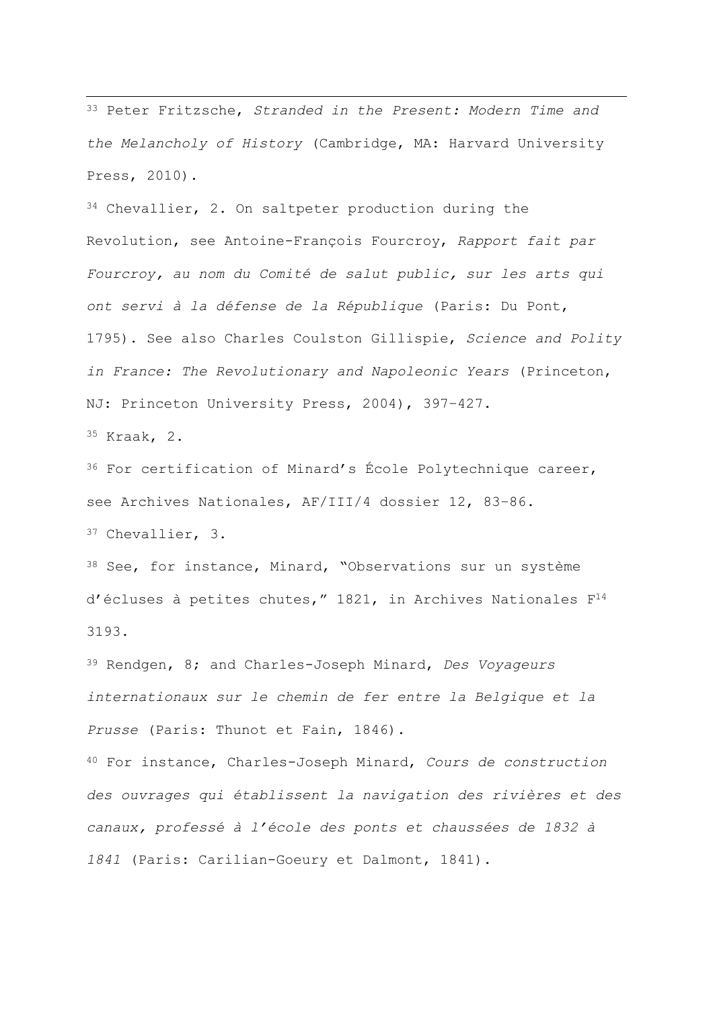<sup>33</sup> Peter Fritzsche, *Stranded in the Present: Modern Time and the Melancholy of History* (Cambridge, MA: Harvard University Press, 2010).

<sup>34</sup> Chevallier, 2. On saltpeter production during the Revolution, see Antoine-François Fourcroy, *Rapport fait par Fourcroy, au nom du Comité de salut public, sur les arts qui ont servi à la défense de la République* (Paris: Du Pont, 1795). See also Charles Coulston Gillispie, *Science and Polity in France: The Revolutionary and Napoleonic Years* (Princeton, NJ: Princeton University Press, 2004), 397–427.

<sup>35</sup> Kraak, 2.

<sup>36</sup> For certification of Minard's École Polytechnique career, see Archives Nationales, AF/III/4 dossier 12, 83–86.

<sup>37</sup> Chevallier, 3.

<sup>38</sup> See, for instance, Minard, "Observations sur un système d'écluses à petites chutes," 1821, in Archives Nationales F<sup>14</sup> 3193.

<sup>39</sup> Rendgen, 8; and Charles-Joseph Minard, *Des Voyageurs internationaux sur le chemin de fer entre la Belgique et la Prusse* (Paris: Thunot et Fain, 1846).

<sup>40</sup> For instance, Charles-Joseph Minard, *Cours de construction des ouvrages qui établissent la navigation des rivières et des canaux, professé à l'école des ponts et chaussées de 1832 à 1841* (Paris: Carilian-Goeury et Dalmont, 1841).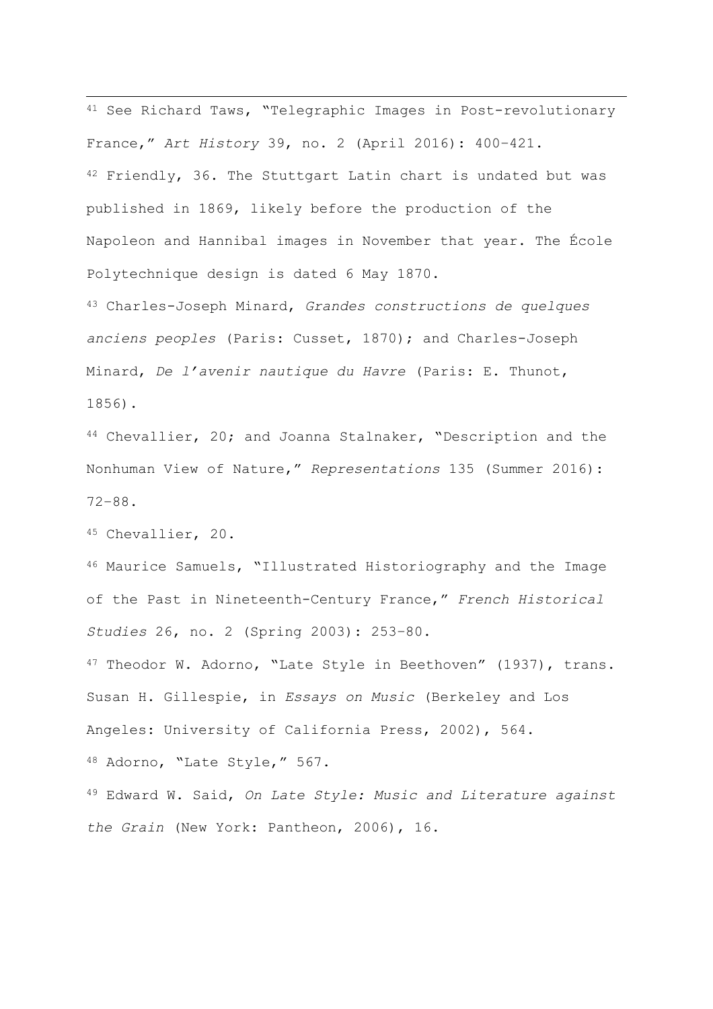<sup>41</sup> See Richard Taws, "Telegraphic Images in Post-revolutionary France," *Art History* 39, no. 2 (April 2016): 400–421. 42 Friendly, 36. The Stuttgart Latin chart is undated but was published in 1869, likely before the production of the Napoleon and Hannibal images in November that year. The École Polytechnique design is dated 6 May 1870.

<sup>43</sup> Charles-Joseph Minard, *Grandes constructions de quelques anciens peoples* (Paris: Cusset, 1870); and Charles-Joseph Minard, *De l'avenir nautique du Havre* (Paris: E. Thunot, 1856).

44 Chevallier, 20; and Joanna Stalnaker, "Description and the Nonhuman View of Nature," *Representations* 135 (Summer 2016): 72–88.

<sup>45</sup> Chevallier, 20.

<sup>46</sup> Maurice Samuels, "Illustrated Historiography and the Image of the Past in Nineteenth-Century France," *French Historical Studies* 26, no. 2 (Spring 2003): 253–80.

47 Theodor W. Adorno, "Late Style in Beethoven" (1937), trans. Susan H. Gillespie, in *Essays on Music* (Berkeley and Los Angeles: University of California Press, 2002), 564.

<sup>48</sup> Adorno, "Late Style," 567.

<sup>49</sup> Edward W. Said, *On Late Style: Music and Literature against the Grain* (New York: Pantheon, 2006), 16.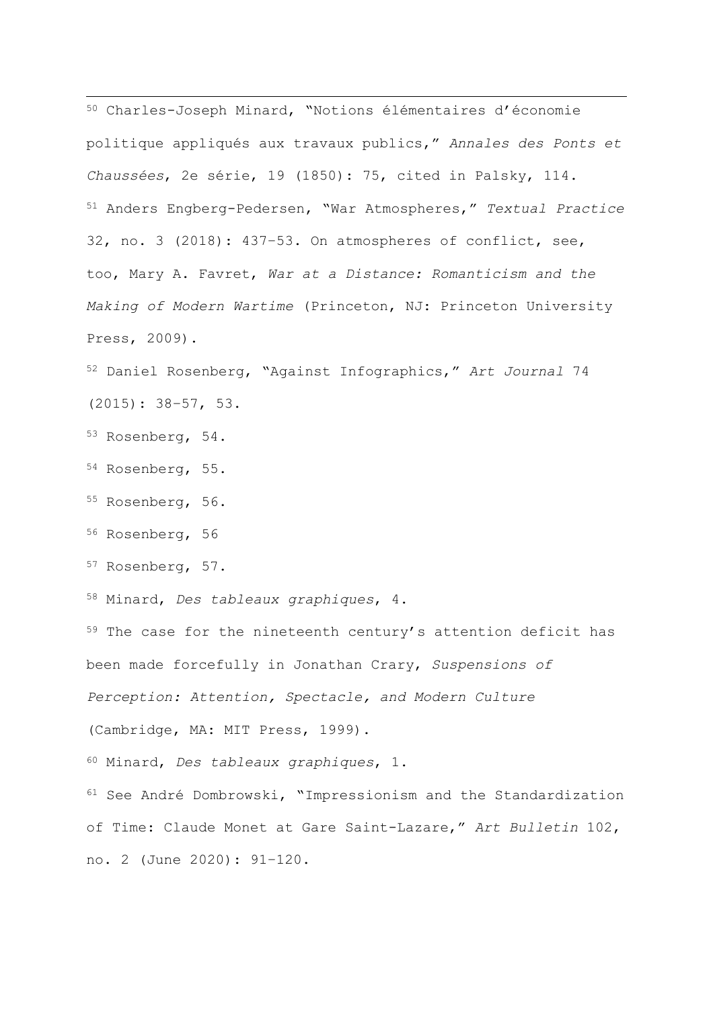<sup>50</sup> Charles-Joseph Minard, "Notions élémentaires d'économie politique appliqués aux travaux publics," *Annales des Ponts et Chaussées*, 2e série, 19 (1850): 75, cited in Palsky, 114. <sup>51</sup> Anders Engberg-Pedersen, "War Atmospheres," *Textual Practice* 32, no. 3 (2018): 437–53. On atmospheres of conflict, see, too, Mary A. Favret, *War at a Distance: Romanticism and the Making of Modern Wartime* (Princeton, NJ: Princeton University Press, 2009).

<sup>52</sup> Daniel Rosenberg, "Against Infographics," *Art Journal* 74 (2015): 38–57, 53.

- <sup>53</sup> Rosenberg, 54.
- <sup>54</sup> Rosenberg, 55.
- <sup>55</sup> Rosenberg, 56.
- <sup>56</sup> Rosenberg, 56
- <sup>57</sup> Rosenberg, 57.

<sup>58</sup> Minard, *Des tableaux graphiques*, 4.

59 The case for the nineteenth century's attention deficit has been made forcefully in Jonathan Crary, *Suspensions of Perception: Attention, Spectacle, and Modern Culture* (Cambridge, MA: MIT Press, 1999). <sup>60</sup> Minard, *Des tableaux graphiques*, 1.

<sup>61</sup> See André Dombrowski, "Impressionism and the Standardization of Time: Claude Monet at Gare Saint-Lazare," *Art Bulletin* 102, no. 2 (June 2020): 91–120.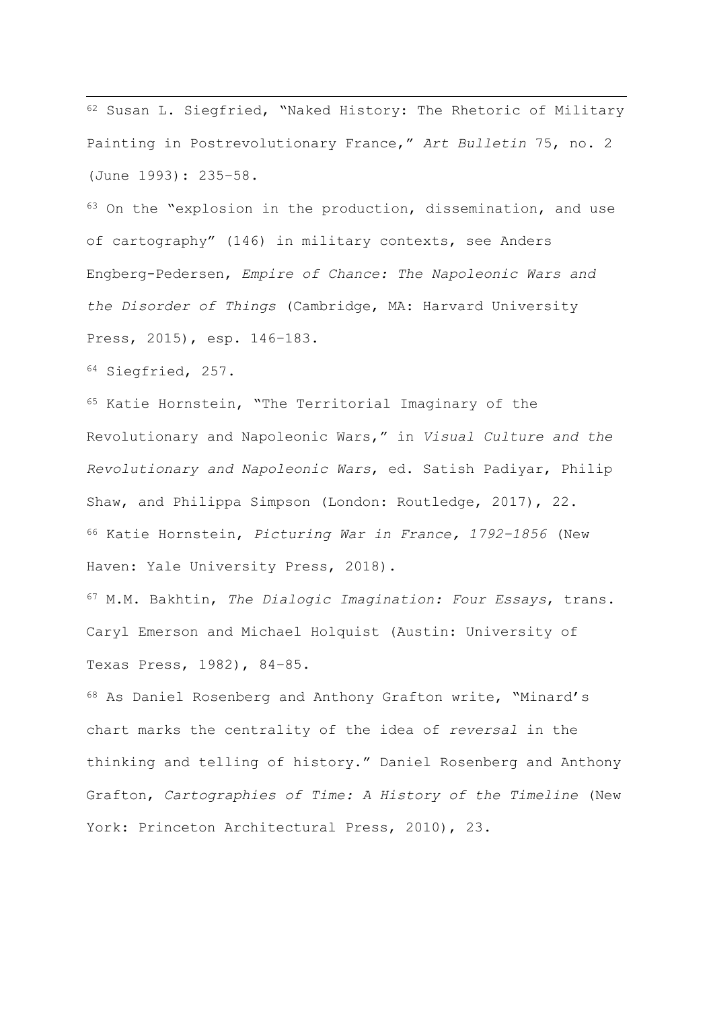<sup>62</sup> Susan L. Siegfried, "Naked History: The Rhetoric of Military Painting in Postrevolutionary France," *Art Bulletin* 75, no. 2 (June 1993): 235–58.

63 On the "explosion in the production, dissemination, and use of cartography" (146) in military contexts, see Anders Engberg-Pedersen, *Empire of Chance: The Napoleonic Wars and the Disorder of Things* (Cambridge, MA: Harvard University Press, 2015), esp. 146–183.

<sup>64</sup> Siegfried, 257.

<sup>65</sup> Katie Hornstein, "The Territorial Imaginary of the Revolutionary and Napoleonic Wars," in *Visual Culture and the Revolutionary and Napoleonic Wars*, ed. Satish Padiyar, Philip Shaw, and Philippa Simpson (London: Routledge, 2017), 22. <sup>66</sup> Katie Hornstein, *Picturing War in France, 1792–1856* (New Haven: Yale University Press, 2018).

<sup>67</sup> M.M. Bakhtin, *The Dialogic Imagination: Four Essays*, trans. Caryl Emerson and Michael Holquist (Austin: University of Texas Press, 1982), 84–85.

<sup>68</sup> As Daniel Rosenberg and Anthony Grafton write, "Minard's chart marks the centrality of the idea of *reversal* in the thinking and telling of history." Daniel Rosenberg and Anthony Grafton, *Cartographies of Time: A History of the Timeline* (New York: Princeton Architectural Press, 2010), 23.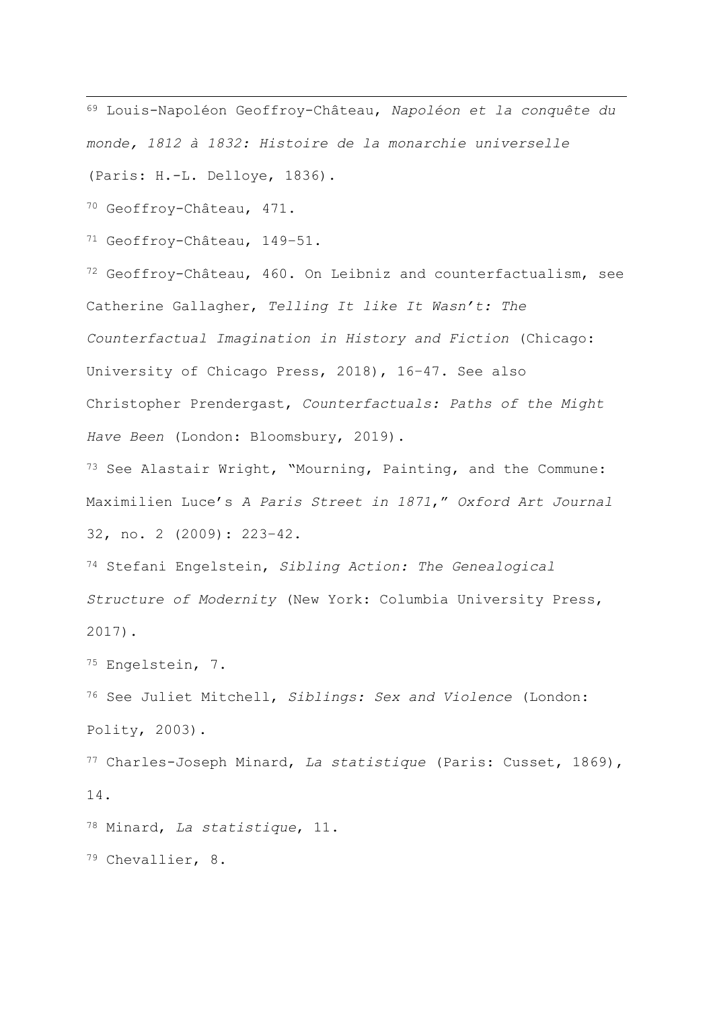<sup>69</sup> Louis-Napoléon Geoffroy-Château, *Napoléon et la conquête du monde, 1812 à 1832: Histoire de la monarchie universelle* (Paris: H.-L. Delloye, 1836).

<sup>70</sup> Geoffroy-Château, 471.

<sup>71</sup> Geoffroy-Château, 149–51.

<sup>72</sup> Geoffroy-Château, 460. On Leibniz and counterfactualism, see Catherine Gallagher, *Telling It like It Wasn't: The Counterfactual Imagination in History and Fiction* (Chicago: University of Chicago Press, 2018), 16–47. See also Christopher Prendergast, *Counterfactuals: Paths of the Might Have Been* (London: Bloomsbury, 2019).

<sup>73</sup> See Alastair Wright, "Mourning, Painting, and the Commune: Maximilien Luce's *A Paris Street in 1871*," *Oxford Art Journal* 32, no. 2 (2009): 223–42.

<sup>74</sup> Stefani Engelstein, *Sibling Action: The Genealogical Structure of Modernity* (New York: Columbia University Press, 2017).

<sup>75</sup> Engelstein, 7.

<sup>76</sup> See Juliet Mitchell, *Siblings: Sex and Violence* (London: Polity, 2003).

<sup>77</sup> Charles-Joseph Minard, *La statistique* (Paris: Cusset, 1869), 14.

<sup>78</sup> Minard, *La statistique*, 11.

<sup>79</sup> Chevallier, 8.